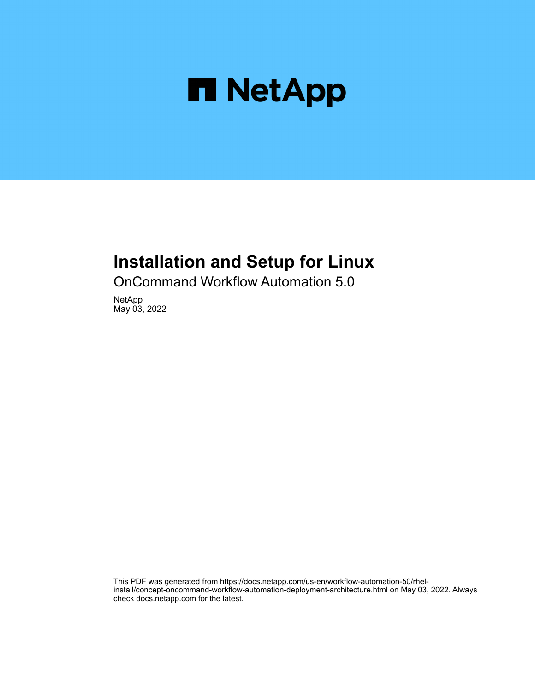

## **Installation and Setup for Linux**

OnCommand Workflow Automation 5.0

NetApp May 03, 2022

This PDF was generated from https://docs.netapp.com/us-en/workflow-automation-50/rhelinstall/concept-oncommand-workflow-automation-deployment-architecture.html on May 03, 2022. Always check docs.netapp.com for the latest.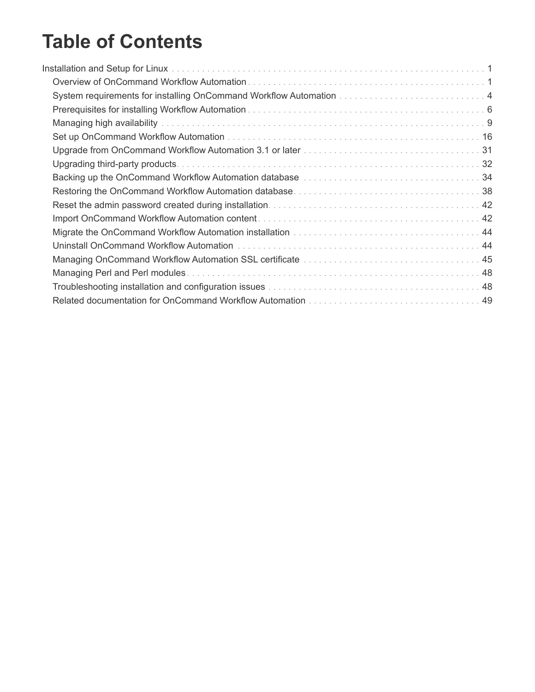# **Table of Contents**

| Backing up the OnCommand Workflow Automation database manufactured contained as a 34 |  |
|--------------------------------------------------------------------------------------|--|
|                                                                                      |  |
|                                                                                      |  |
|                                                                                      |  |
|                                                                                      |  |
|                                                                                      |  |
|                                                                                      |  |
|                                                                                      |  |
|                                                                                      |  |
|                                                                                      |  |
|                                                                                      |  |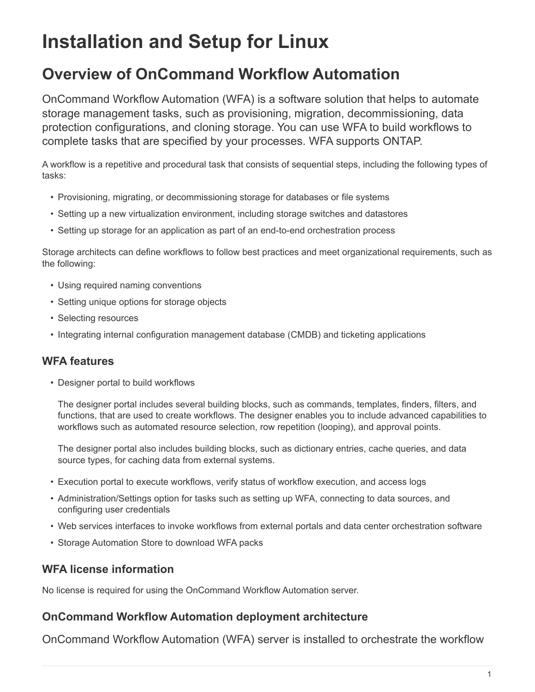# <span id="page-2-0"></span>**Installation and Setup for Linux**

## <span id="page-2-1"></span>**Overview of OnCommand Workflow Automation**

OnCommand Workflow Automation (WFA) is a software solution that helps to automate storage management tasks, such as provisioning, migration, decommissioning, data protection configurations, and cloning storage. You can use WFA to build workflows to complete tasks that are specified by your processes. WFA supports ONTAP.

A workflow is a repetitive and procedural task that consists of sequential steps, including the following types of tasks:

- Provisioning, migrating, or decommissioning storage for databases or file systems
- Setting up a new virtualization environment, including storage switches and datastores
- Setting up storage for an application as part of an end-to-end orchestration process

Storage architects can define workflows to follow best practices and meet organizational requirements, such as the following:

- Using required naming conventions
- Setting unique options for storage objects
- Selecting resources
- Integrating internal configuration management database (CMDB) and ticketing applications

## **WFA features**

• Designer portal to build workflows

The designer portal includes several building blocks, such as commands, templates, finders, filters, and functions, that are used to create workflows. The designer enables you to include advanced capabilities to workflows such as automated resource selection, row repetition (looping), and approval points.

The designer portal also includes building blocks, such as dictionary entries, cache queries, and data source types, for caching data from external systems.

- Execution portal to execute workflows, verify status of workflow execution, and access logs
- Administration/Settings option for tasks such as setting up WFA, connecting to data sources, and configuring user credentials
- Web services interfaces to invoke workflows from external portals and data center orchestration software
- Storage Automation Store to download WFA packs

## **WFA license information**

No license is required for using the OnCommand Workflow Automation server.

## **OnCommand Workflow Automation deployment architecture**

OnCommand Workflow Automation (WFA) server is installed to orchestrate the workflow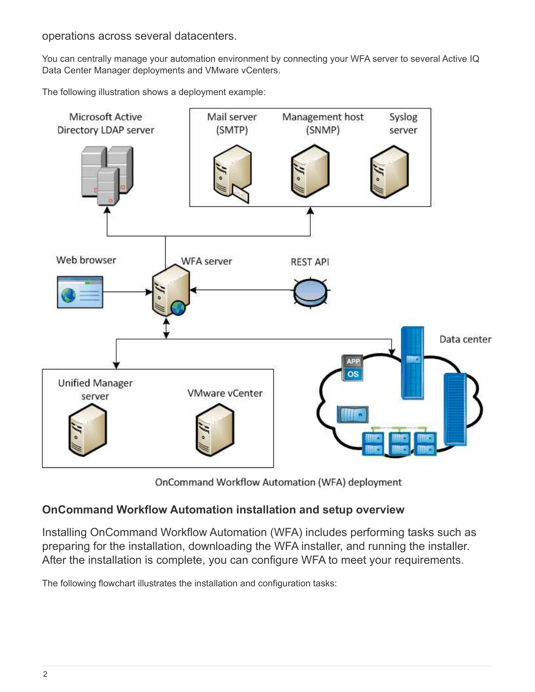operations across several datacenters.

You can centrally manage your automation environment by connecting your WFA server to several Active IQ Data Center Manager deployments and VMware vCenters.

The following illustration shows a deployment example:



OnCommand Workflow Automation (WFA) deployment

## **OnCommand Workflow Automation installation and setup overview**

Installing OnCommand Workflow Automation (WFA) includes performing tasks such as preparing for the installation, downloading the WFA installer, and running the installer. After the installation is complete, you can configure WFA to meet your requirements.

The following flowchart illustrates the installation and configuration tasks: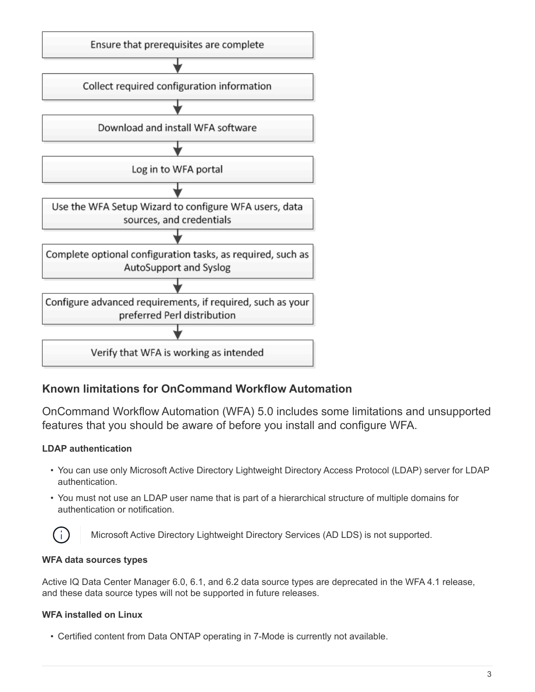

## **Known limitations for OnCommand Workflow Automation**

OnCommand Workflow Automation (WFA) 5.0 includes some limitations and unsupported features that you should be aware of before you install and configure WFA.

#### **LDAP authentication**

- You can use only Microsoft Active Directory Lightweight Directory Access Protocol (LDAP) server for LDAP authentication.
- You must not use an LDAP user name that is part of a hierarchical structure of multiple domains for authentication or notification.



Microsoft Active Directory Lightweight Directory Services (AD LDS) is not supported.

#### **WFA data sources types**

Active IQ Data Center Manager 6.0, 6.1, and 6.2 data source types are deprecated in the WFA 4.1 release, and these data source types will not be supported in future releases.

#### **WFA installed on Linux**

• Certified content from Data ONTAP operating in 7-Mode is currently not available.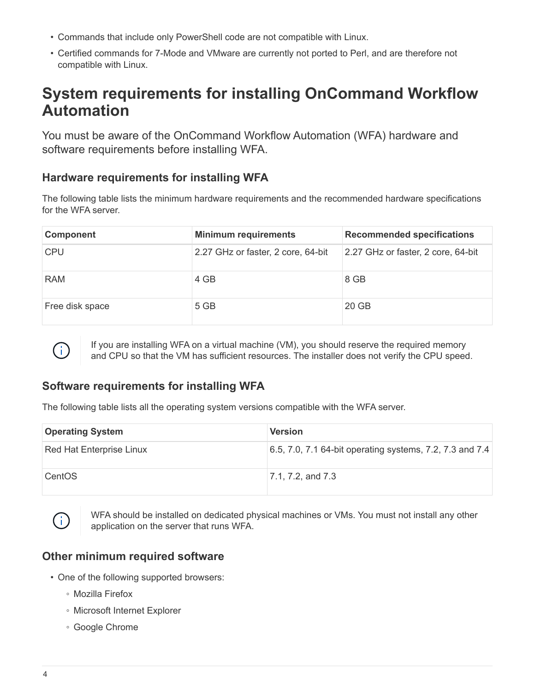- Commands that include only PowerShell code are not compatible with Linux.
- Certified commands for 7-Mode and VMware are currently not ported to Perl, and are therefore not compatible with Linux.

## <span id="page-5-0"></span>**System requirements for installing OnCommand Workflow Automation**

You must be aware of the OnCommand Workflow Automation (WFA) hardware and software requirements before installing WFA.

## **Hardware requirements for installing WFA**

The following table lists the minimum hardware requirements and the recommended hardware specifications for the WFA server.

| <b>Component</b> | <b>Minimum requirements</b>        | <b>Recommended specifications</b>  |
|------------------|------------------------------------|------------------------------------|
| <b>CPU</b>       | 2.27 GHz or faster, 2 core, 64-bit | 2.27 GHz or faster, 2 core, 64-bit |
| <b>RAM</b>       | 4 GB                               | 8 GB                               |
| Free disk space  | 5 GB                               | 20 GB                              |



If you are installing WFA on a virtual machine (VM), you should reserve the required memory and CPU so that the VM has sufficient resources. The installer does not verify the CPU speed.

## **Software requirements for installing WFA**

The following table lists all the operating system versions compatible with the WFA server.

| <b>Operating System</b>  | <b>Version</b>                                           |
|--------------------------|----------------------------------------------------------|
| Red Hat Enterprise Linux | 6.5, 7.0, 7.1 64-bit operating systems, 7.2, 7.3 and 7.4 |
| CentOS                   | $ 7.1, 7.2,$ and $7.3$                                   |



WFA should be installed on dedicated physical machines or VMs. You must not install any other application on the server that runs WFA.

## **Other minimum required software**

- One of the following supported browsers:
	- Mozilla Firefox
	- Microsoft Internet Explorer
	- Google Chrome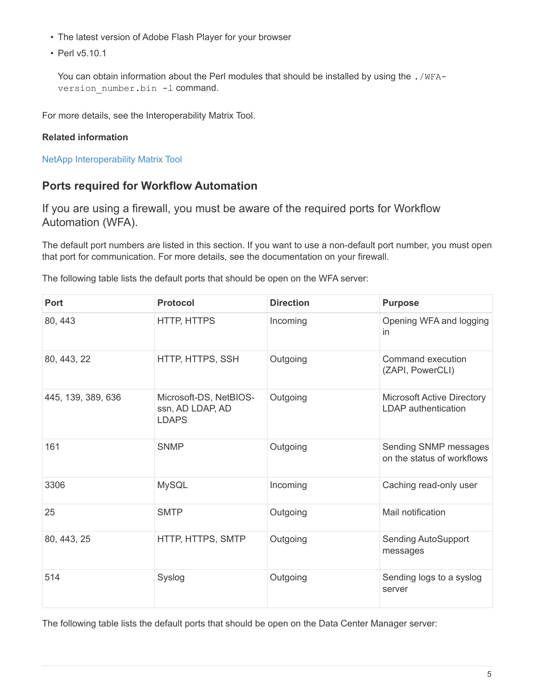- The latest version of Adobe Flash Player for your browser
- Perl v5.10.1

You can obtain information about the Perl modules that should be installed by using the . /WFAversion number.bin -1 command.

For more details, see the Interoperability Matrix Tool.

#### **Related information**

[NetApp Interoperability Matrix Tool](http://mysupport.netapp.com/matrix)

### **Ports required for Workflow Automation**

If you are using a firewall, you must be aware of the required ports for Workflow Automation (WFA).

The default port numbers are listed in this section. If you want to use a non-default port number, you must open that port for communication. For more details, see the documentation on your firewall.

**Port Protocol Direction Purpose** 80, 443 **HTTP, HTTPS** Incoming Dening Opening WFA and logging in 80, 443, 22 **HTTP, HTTPS, SSH** Outgoing Command execution (ZAPI, PowerCLI) 445, 139, 389, 636 Microsoft-DS, NetBIOSssn, AD LDAP, AD LDAPS Outgoing Microsoft Active Directory LDAP authentication 161 SNMP SNMP Outgoing Sending SNMP messages on the status of workflows 3306 MySQL MySQL Incoming Caching read-only user 25 SMTP SMTP Outgoing Mail notification 80, 443, 25 **HTTP, HTTPS, SMTP** Outgoing Sending AutoSupport messages 514 Syslog Cutgoing Sending logs to a syslog Sending Logs in Sending Logs to a syslog server

The following table lists the default ports that should be open on the WFA server:

The following table lists the default ports that should be open on the Data Center Manager server: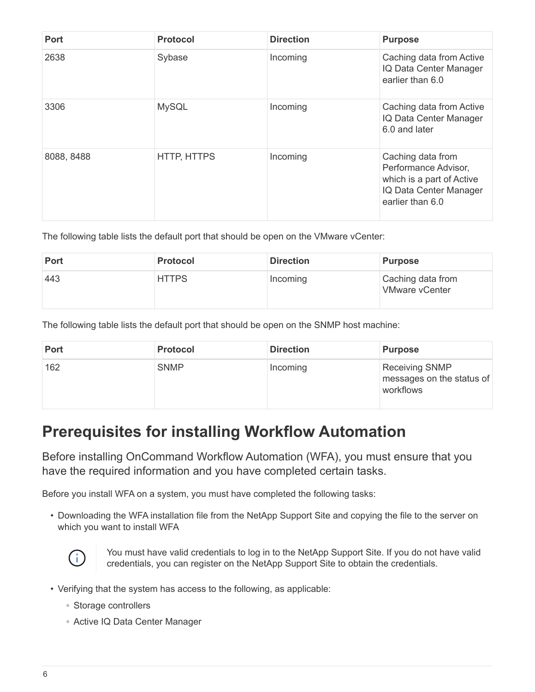| <b>Port</b> | <b>Protocol</b> | <b>Direction</b> | <b>Purpose</b>                                                                                                       |
|-------------|-----------------|------------------|----------------------------------------------------------------------------------------------------------------------|
| 2638        | Sybase          | Incoming         | Caching data from Active<br>IQ Data Center Manager<br>earlier than 6.0                                               |
| 3306        | <b>MySQL</b>    | Incoming         | Caching data from Active<br>IQ Data Center Manager<br>6.0 and later                                                  |
| 8088, 8488  | HTTP, HTTPS     | Incoming         | Caching data from<br>Performance Advisor,<br>which is a part of Active<br>IQ Data Center Manager<br>earlier than 6.0 |

The following table lists the default port that should be open on the VMware vCenter:

| <b>Port</b> | <b>Protocol</b> | <b>Direction</b> | <b>Purpose</b>                             |
|-------------|-----------------|------------------|--------------------------------------------|
| 443         | <b>HTTPS</b>    | Incoming         | Caching data from<br><b>VMware vCenter</b> |

The following table lists the default port that should be open on the SNMP host machine:

| Port | <b>Protocol</b> | <b>Direction</b> | <b>Purpose</b>                                                  |
|------|-----------------|------------------|-----------------------------------------------------------------|
| 162  | <b>SNMP</b>     | Incoming         | <b>Receiving SNMP</b><br>messages on the status of<br>workflows |

## <span id="page-7-0"></span>**Prerequisites for installing Workflow Automation**

Before installing OnCommand Workflow Automation (WFA), you must ensure that you have the required information and you have completed certain tasks.

Before you install WFA on a system, you must have completed the following tasks:

• Downloading the WFA installation file from the NetApp Support Site and copying the file to the server on which you want to install WFA



You must have valid credentials to log in to the NetApp Support Site. If you do not have valid credentials, you can register on the NetApp Support Site to obtain the credentials.

- Verifying that the system has access to the following, as applicable:
	- Storage controllers
	- Active IQ Data Center Manager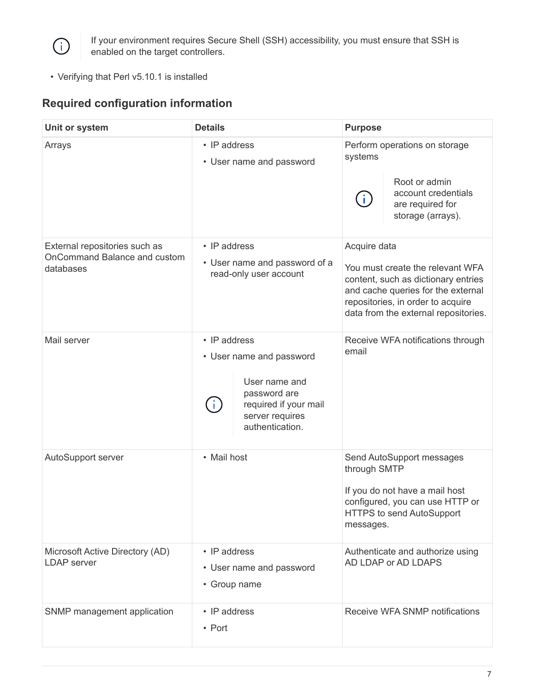

If your environment requires Secure Shell (SSH) accessibility, you must ensure that SSH is enabled on the target controllers.

• Verifying that Perl v5.10.1 is installed

## **Required configuration information**

| Unit or system                                                             | <b>Details</b>                                                                                                                           | <b>Purpose</b>                                                                                                                                                                                             |  |
|----------------------------------------------------------------------------|------------------------------------------------------------------------------------------------------------------------------------------|------------------------------------------------------------------------------------------------------------------------------------------------------------------------------------------------------------|--|
| Arrays                                                                     | • IP address<br>• User name and password                                                                                                 | Perform operations on storage<br>systems<br>Root or admin<br>account credentials<br>Ō.<br>are required for<br>storage (arrays).                                                                            |  |
| External repositories such as<br>OnCommand Balance and custom<br>databases | • IP address<br>• User name and password of a<br>read-only user account                                                                  | Acquire data<br>You must create the relevant WFA<br>content, such as dictionary entries<br>and cache queries for the external<br>repositories, in order to acquire<br>data from the external repositories. |  |
| Mail server                                                                | • IP address<br>• User name and password<br>User name and<br>password are<br>required if your mail<br>server requires<br>authentication. | Receive WFA notifications through<br>email                                                                                                                                                                 |  |
| AutoSupport server                                                         | • Mail host                                                                                                                              | Send AutoSupport messages<br>through SMTP<br>If you do not have a mail host<br>configured, you can use HTTP or<br><b>HTTPS to send AutoSupport</b><br>messages.                                            |  |
| Microsoft Active Directory (AD)<br><b>LDAP</b> server                      | • IP address<br>• User name and password<br>• Group name                                                                                 | Authenticate and authorize using<br>AD LDAP or AD LDAPS                                                                                                                                                    |  |
| SNMP management application                                                | • IP address<br>• Port                                                                                                                   | Receive WFA SNMP notifications                                                                                                                                                                             |  |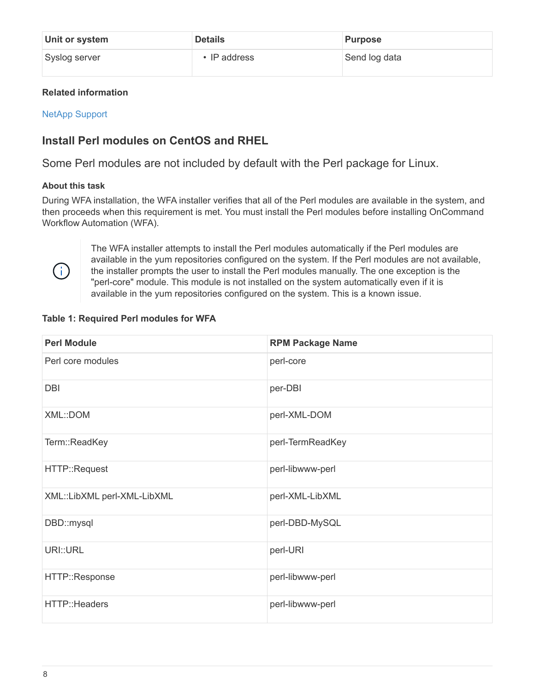| Unit or system | <b>Details</b> | <b>Purpose</b> |
|----------------|----------------|----------------|
| Syslog server  | • IP address   | Send log data  |

#### **Related information**

#### [NetApp Support](http://mysupport.netapp.com)

### **Install Perl modules on CentOS and RHEL**

Some Perl modules are not included by default with the Perl package for Linux.

#### **About this task**

During WFA installation, the WFA installer verifies that all of the Perl modules are available in the system, and then proceeds when this requirement is met. You must install the Perl modules before installing OnCommand Workflow Automation (WFA).



The WFA installer attempts to install the Perl modules automatically if the Perl modules are available in the yum repositories configured on the system. If the Perl modules are not available, the installer prompts the user to install the Perl modules manually. The one exception is the "perl-core" module. This module is not installed on the system automatically even if it is available in the yum repositories configured on the system. This is a known issue.

#### **Table 1: Required Perl modules for WFA**

| <b>Perl Module</b>          | <b>RPM Package Name</b> |
|-----------------------------|-------------------------|
| Perl core modules           | perl-core               |
| <b>DBI</b>                  | per-DBI                 |
| XML::DOM                    | perl-XML-DOM            |
| Term::ReadKey               | perl-TermReadKey        |
| HTTP::Request               | perl-libwww-perl        |
| XML::LibXML perl-XML-LibXML | perl-XML-LibXML         |
| DBD::mysql                  | perl-DBD-MySQL          |
| URI:: URL                   | perl-URI                |
| HTTP::Response              | perl-libwww-perl        |
| HTTP::Headers               | perl-libwww-perl        |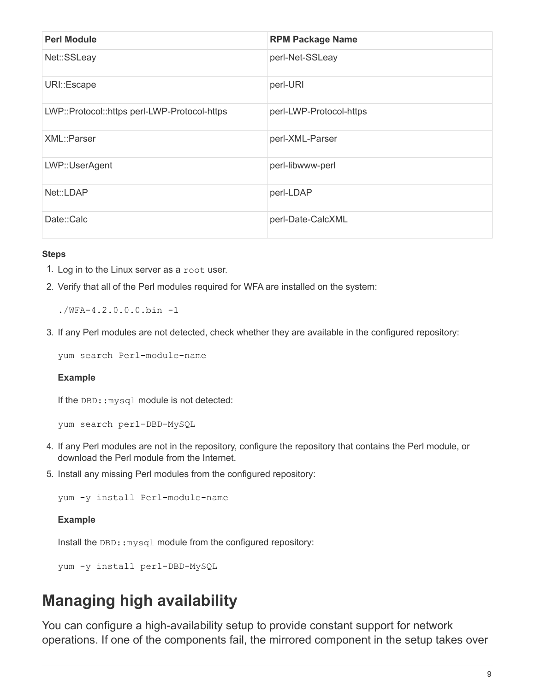| <b>Perl Module</b>                           | <b>RPM Package Name</b> |
|----------------------------------------------|-------------------------|
| Net::SSLeay                                  | perl-Net-SSLeay         |
| URI::Escape                                  | perl-URI                |
| LWP::Protocol::https perl-LWP-Protocol-https | perl-LWP-Protocol-https |
| XML::Parser                                  | perl-XML-Parser         |
| LWP::UserAgent                               | perl-libwww-perl        |
| Net::LDAP                                    | perl-LDAP               |
| Date::Calc                                   | perl-Date-CalcXML       |

#### **Steps**

- 1. Log in to the Linux server as a root user.
- 2. Verify that all of the Perl modules required for WFA are installed on the system:

 $1.7WFA-4.2.0.0.0.0.01 - 1$ 

3. If any Perl modules are not detected, check whether they are available in the configured repository:

yum search Perl-module-name

#### **Example**

If the DBD: : mysql module is not detected:

yum search perl-DBD-MySQL

- 4. If any Perl modules are not in the repository, configure the repository that contains the Perl module, or download the Perl module from the Internet.
- 5. Install any missing Perl modules from the configured repository:

yum -y install Perl-module-name

#### **Example**

Install the DBD:: mysql module from the configured repository:

yum -y install perl-DBD-MySQL

## <span id="page-10-0"></span>**Managing high availability**

You can configure a high-availability setup to provide constant support for network operations. If one of the components fail, the mirrored component in the setup takes over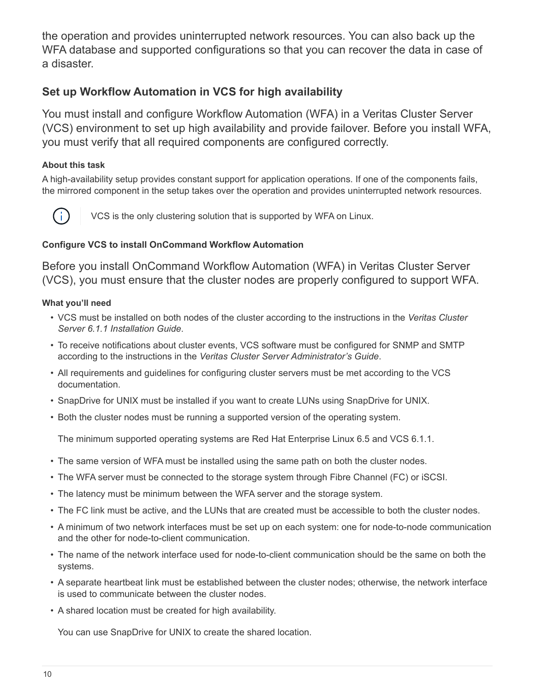the operation and provides uninterrupted network resources. You can also back up the WFA database and supported configurations so that you can recover the data in case of a disaster.

## **Set up Workflow Automation in VCS for high availability**

You must install and configure Workflow Automation (WFA) in a Veritas Cluster Server (VCS) environment to set up high availability and provide failover. Before you install WFA, you must verify that all required components are configured correctly.

#### **About this task**

A high-availability setup provides constant support for application operations. If one of the components fails, the mirrored component in the setup takes over the operation and provides uninterrupted network resources.



VCS is the only clustering solution that is supported by WFA on Linux.

#### <span id="page-11-0"></span>**Configure VCS to install OnCommand Workflow Automation**

Before you install OnCommand Workflow Automation (WFA) in Veritas Cluster Server (VCS), you must ensure that the cluster nodes are properly configured to support WFA.

#### **What you'll need**

- VCS must be installed on both nodes of the cluster according to the instructions in the *Veritas Cluster Server 6.1.1 Installation Guide*.
- To receive notifications about cluster events, VCS software must be configured for SNMP and SMTP according to the instructions in the *Veritas Cluster Server Administrator's Guide*.
- All requirements and guidelines for configuring cluster servers must be met according to the VCS documentation.
- SnapDrive for UNIX must be installed if you want to create LUNs using SnapDrive for UNIX.
- Both the cluster nodes must be running a supported version of the operating system.

The minimum supported operating systems are Red Hat Enterprise Linux 6.5 and VCS 6.1.1.

- The same version of WFA must be installed using the same path on both the cluster nodes.
- The WFA server must be connected to the storage system through Fibre Channel (FC) or iSCSI.
- The latency must be minimum between the WFA server and the storage system.
- The FC link must be active, and the LUNs that are created must be accessible to both the cluster nodes.
- A minimum of two network interfaces must be set up on each system: one for node-to-node communication and the other for node-to-client communication.
- The name of the network interface used for node-to-client communication should be the same on both the systems.
- A separate heartbeat link must be established between the cluster nodes; otherwise, the network interface is used to communicate between the cluster nodes.
- A shared location must be created for high availability.

You can use SnapDrive for UNIX to create the shared location.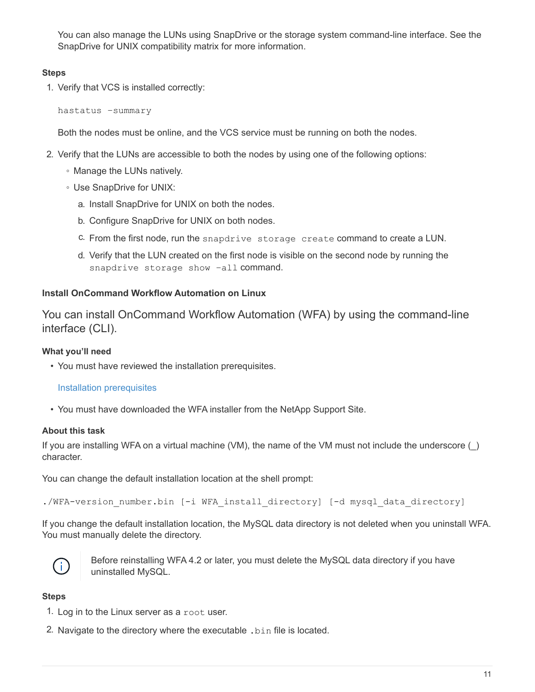You can also manage the LUNs using SnapDrive or the storage system command-line interface. See the SnapDrive for UNIX compatibility matrix for more information.

#### **Steps**

1. Verify that VCS is installed correctly:

hastatus –summary

Both the nodes must be online, and the VCS service must be running on both the nodes.

- 2. Verify that the LUNs are accessible to both the nodes by using one of the following options:
	- Manage the LUNs natively.
	- Use SnapDrive for UNIX:
		- a. Install SnapDrive for UNIX on both the nodes.
		- b. Configure SnapDrive for UNIX on both nodes.
		- c. From the first node, run the snapdrive storage create command to create a LUN.
		- d. Verify that the LUN created on the first node is visible on the second node by running the snapdrive storage show –all command.

#### <span id="page-12-0"></span>**Install OnCommand Workflow Automation on Linux**

You can install OnCommand Workflow Automation (WFA) by using the command-line interface (CLI).

#### **What you'll need**

• You must have reviewed the installation prerequisites.

#### [Installation prerequisites](#page-7-0)

• You must have downloaded the WFA installer from the NetApp Support Site.

#### **About this task**

If you are installing WFA on a virtual machine (VM), the name of the VM must not include the underscore (\_) character.

You can change the default installation location at the shell prompt:

./WFA-version number.bin [-i WFA install directory] [-d mysql data directory]

If you change the default installation location, the MySQL data directory is not deleted when you uninstall WFA. You must manually delete the directory.



Before reinstalling WFA 4.2 or later, you must delete the MySQL data directory if you have uninstalled MySQL.

#### **Steps**

- 1. Log in to the Linux server as a root user.
- 2. Navigate to the directory where the executable .bin file is located.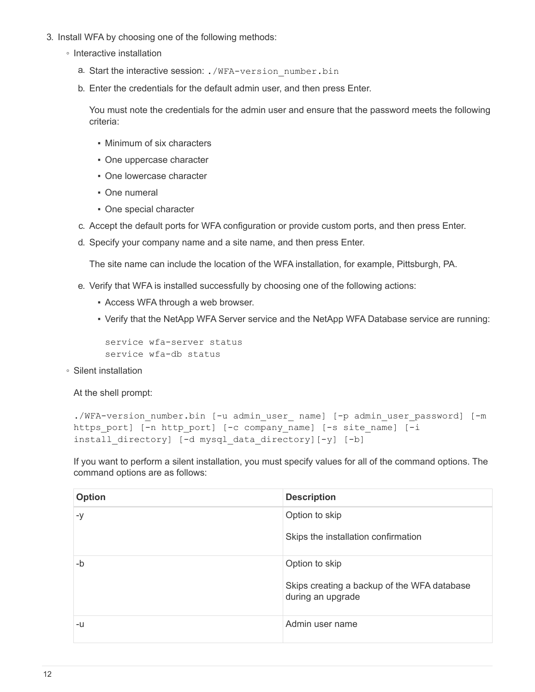- 3. Install WFA by choosing one of the following methods:
	- Interactive installation
		- a. Start the interactive session: . /WFA-version\_number.bin
		- b. Enter the credentials for the default admin user, and then press Enter.

You must note the credentials for the admin user and ensure that the password meets the following criteria:

- Minimum of six characters
- One uppercase character
- **One lowercase character**
- One numeral
- One special character
- c. Accept the default ports for WFA configuration or provide custom ports, and then press Enter.
- d. Specify your company name and a site name, and then press Enter.

The site name can include the location of the WFA installation, for example, Pittsburgh, PA.

- e. Verify that WFA is installed successfully by choosing one of the following actions:
	- **EXECCESS WFA through a web browser.**
	- Verify that the NetApp WFA Server service and the NetApp WFA Database service are running:

```
service wfa-server status
service wfa-db status
```
◦ Silent installation

At the shell prompt:

```
./WFA-version number.bin [-u admin user name] [-p admin user password] [-m
https_port] [-n http_port] [-c company_name] [-s site_name] [-i
install directory] [-d mysql data directory][-y] [-b]
```
If you want to perform a silent installation, you must specify values for all of the command options. The command options are as follows:

| <b>Option</b> | <b>Description</b>                                                                 |
|---------------|------------------------------------------------------------------------------------|
| $-y$          | Option to skip<br>Skips the installation confirmation                              |
| -b            | Option to skip<br>Skips creating a backup of the WFA database<br>during an upgrade |
| -u            | Admin user name                                                                    |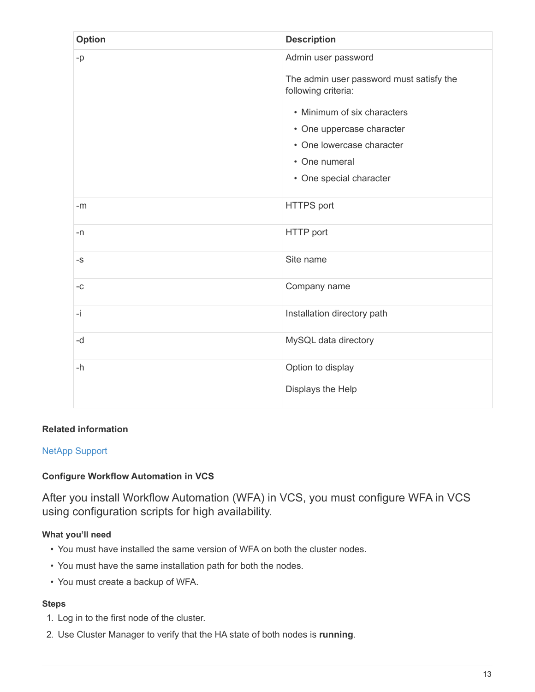| <b>Option</b> | <b>Description</b>                                              |
|---------------|-----------------------------------------------------------------|
| -p            | Admin user password                                             |
|               | The admin user password must satisfy the<br>following criteria: |
|               | • Minimum of six characters                                     |
|               | • One uppercase character                                       |
|               | • One lowercase character                                       |
|               | • One numeral                                                   |
|               | • One special character                                         |
| $-m$          | <b>HTTPS</b> port                                               |
| $-n$          | HTTP port                                                       |
| $-S$          | Site name                                                       |
| -C            | Company name                                                    |
| -j            | Installation directory path                                     |
| -d            | MySQL data directory                                            |
| $-h$          | Option to display                                               |
|               | Displays the Help                                               |

#### **Related information**

#### [NetApp Support](http://mysupport.netapp.com)

#### <span id="page-14-0"></span>**Configure Workflow Automation in VCS**

After you install Workflow Automation (WFA) in VCS, you must configure WFA in VCS using configuration scripts for high availability.

#### **What you'll need**

- You must have installed the same version of WFA on both the cluster nodes.
- You must have the same installation path for both the nodes.
- You must create a backup of WFA.

#### **Steps**

- 1. Log in to the first node of the cluster.
- 2. Use Cluster Manager to verify that the HA state of both nodes is **running**.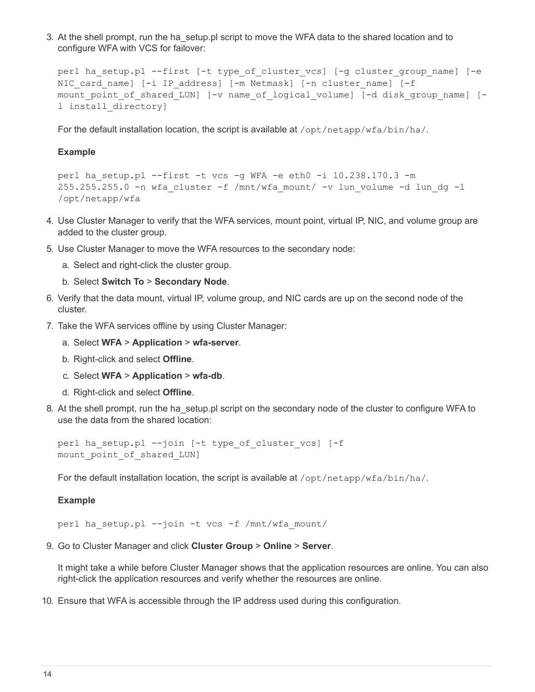3. At the shell prompt, run the ha\_setup.pl script to move the WFA data to the shared location and to configure WFA with VCS for failover:

```
perl ha_setup.pl --first [-t type of cluster vcs] [-q cluster group name] [-e
NIC card name] [-i IP address] [-m Netmask] [-n cluster name] [-f
mount point of shared LUN] [-v name of logical volume] [-d disk group name] [-
l install_directory]
```
For the default installation location, the script is available at /opt/netapp/wfa/bin/ha/.

#### **Example**

```
perl ha_setup.pl --first -t vcs -g WFA -e eth0 -i 10.238.170.3 -m
255.255.255.0 -n wfa_cluster -f /mnt/wfa_mount/ -v lun_volume -d lun_dg -l
/opt/netapp/wfa
```
- 4. Use Cluster Manager to verify that the WFA services, mount point, virtual IP, NIC, and volume group are added to the cluster group.
- 5. Use Cluster Manager to move the WFA resources to the secondary node:
	- a. Select and right-click the cluster group.
	- b. Select **Switch To** > **Secondary Node**.
- 6. Verify that the data mount, virtual IP, volume group, and NIC cards are up on the second node of the cluster.
- 7. Take the WFA services offline by using Cluster Manager:
	- a. Select **WFA** > **Application** > **wfa-server**.
	- b. Right-click and select **Offline**.
	- c. Select **WFA** > **Application** > **wfa-db**.
	- d. Right-click and select **Offline**.
- 8. At the shell prompt, run the ha setup.pl script on the secondary node of the cluster to configure WFA to use the data from the shared location:

```
perl ha_setup.pl --join [-t type of cluster vcs] [-f
mount point of shared LUN]
```
For the default installation location, the script is available at  $\sqrt{\text{opt/netapp}/\text{wfa/bin/ha/}}$ .

#### **Example**

perl ha\_setup.pl --join -t vcs -f /mnt/wfa\_mount/

9. Go to Cluster Manager and click **Cluster Group** > **Online** > **Server**.

It might take a while before Cluster Manager shows that the application resources are online. You can also right-click the application resources and verify whether the resources are online.

10. Ensure that WFA is accessible through the IP address used during this configuration.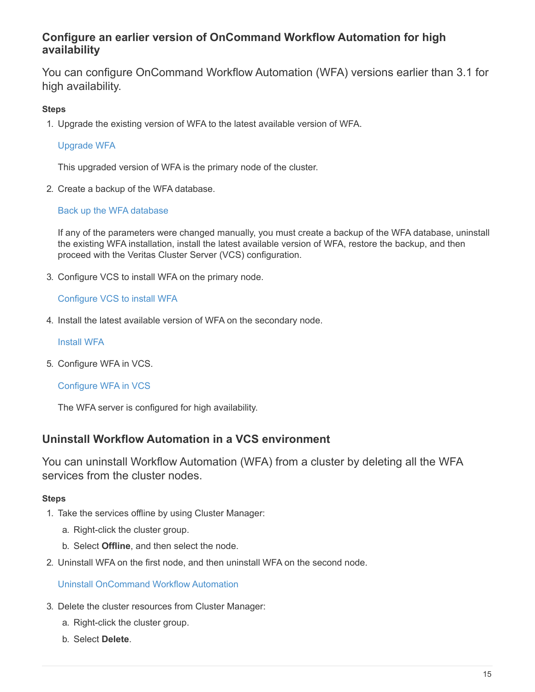## **Configure an earlier version of OnCommand Workflow Automation for high availability**

You can configure OnCommand Workflow Automation (WFA) versions earlier than 3.1 for high availability.

#### **Steps**

1. Upgrade the existing version of WFA to the latest available version of WFA.

#### [Upgrade WFA](#page-32-0)

This upgraded version of WFA is the primary node of the cluster.

2. Create a backup of the WFA database.

#### [Back up the WFA database](#page-35-0)

If any of the parameters were changed manually, you must create a backup of the WFA database, uninstall the existing WFA installation, install the latest available version of WFA, restore the backup, and then proceed with the Veritas Cluster Server (VCS) configuration.

3. Configure VCS to install WFA on the primary node.

#### [Configure VCS to install WFA](#page-11-0)

4. Install the latest available version of WFA on the secondary node.

#### [Install WFA](#page-12-0)

5. Configure WFA in VCS.

#### [Configure WFA in VCS](#page-14-0)

The WFA server is configured for high availability.

## **Uninstall Workflow Automation in a VCS environment**

You can uninstall Workflow Automation (WFA) from a cluster by deleting all the WFA services from the cluster nodes.

#### **Steps**

- 1. Take the services offline by using Cluster Manager:
	- a. Right-click the cluster group.
	- b. Select **Offline**, and then select the node.
- 2. Uninstall WFA on the first node, and then uninstall WFA on the second node.

### [Uninstall OnCommand Workflow Automation](#page-45-1)

- 3. Delete the cluster resources from Cluster Manager:
	- a. Right-click the cluster group.
	- b. Select **Delete**.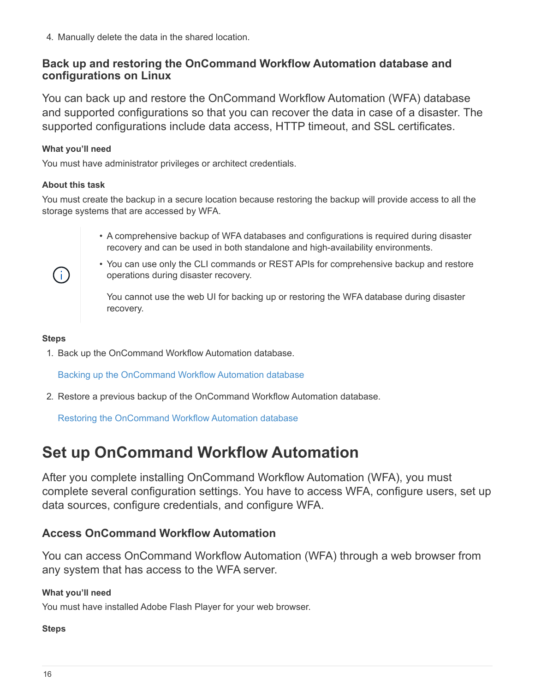4. Manually delete the data in the shared location.

### **Back up and restoring the OnCommand Workflow Automation database and configurations on Linux**

You can back up and restore the OnCommand Workflow Automation (WFA) database and supported configurations so that you can recover the data in case of a disaster. The supported configurations include data access, HTTP timeout, and SSL certificates.

#### **What you'll need**

You must have administrator privileges or architect credentials.

#### **About this task**

You must create the backup in a secure location because restoring the backup will provide access to all the storage systems that are accessed by WFA.

- A comprehensive backup of WFA databases and configurations is required during disaster recovery and can be used in both standalone and high-availability environments.
- You can use only the CLI commands or REST APIs for comprehensive backup and restore operations during disaster recovery.

You cannot use the web UI for backing up or restoring the WFA database during disaster recovery.

#### **Steps**

 $\left( \begin{array}{c} 1 \end{array} \right)$ 

1. Back up the OnCommand Workflow Automation database.

[Backing up the OnCommand Workflow Automation database](#page-35-0)

2. Restore a previous backup of the OnCommand Workflow Automation database.

[Restoring the OnCommand Workflow Automation database](#page-39-0)

## <span id="page-17-0"></span>**Set up OnCommand Workflow Automation**

After you complete installing OnCommand Workflow Automation (WFA), you must complete several configuration settings. You have to access WFA, configure users, set up data sources, configure credentials, and configure WFA.

## **Access OnCommand Workflow Automation**

You can access OnCommand Workflow Automation (WFA) through a web browser from any system that has access to the WFA server.

#### **What you'll need**

You must have installed Adobe Flash Player for your web browser.

#### **Steps**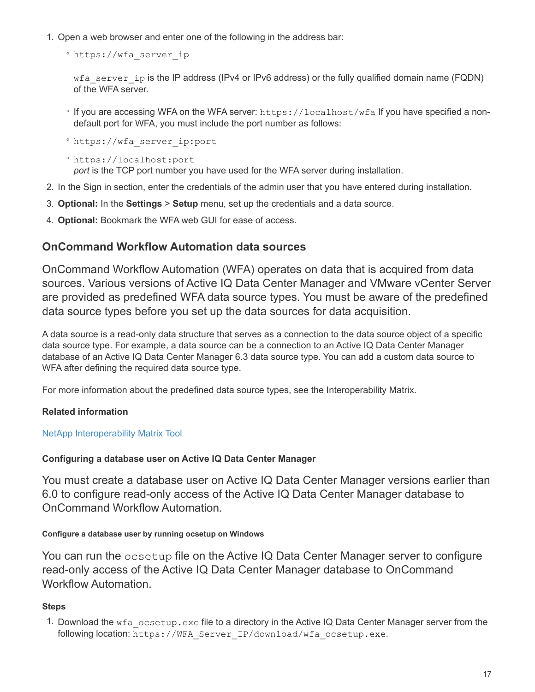- 1. Open a web browser and enter one of the following in the address bar:
	- https://wfa\_server\_ip

wfa\_server\_ip is the IP address (IPv4 or IPv6 address) or the fully qualified domain name (FQDN) of the WFA server.

- If you are accessing WFA on the WFA server: https://localhost/wfa If you have specified a nondefault port for WFA, you must include the port number as follows:
- https://wfa\_server\_ip:port

◦ https://localhost:port *port* is the TCP port number you have used for the WFA server during installation.

- 2. In the Sign in section, enter the credentials of the admin user that you have entered during installation.
- 3. **Optional:** In the **Settings** > **Setup** menu, set up the credentials and a data source.
- 4. **Optional:** Bookmark the WFA web GUI for ease of access.

### **OnCommand Workflow Automation data sources**

OnCommand Workflow Automation (WFA) operates on data that is acquired from data sources. Various versions of Active IQ Data Center Manager and VMware vCenter Server are provided as predefined WFA data source types. You must be aware of the predefined data source types before you set up the data sources for data acquisition.

A data source is a read-only data structure that serves as a connection to the data source object of a specific data source type. For example, a data source can be a connection to an Active IQ Data Center Manager database of an Active IQ Data Center Manager 6.3 data source type. You can add a custom data source to WFA after defining the required data source type.

For more information about the predefined data source types, see the Interoperability Matrix.

#### **Related information**

#### [NetApp Interoperability Matrix Tool](http://mysupport.netapp.com/matrix)

#### **Configuring a database user on Active IQ Data Center Manager**

You must create a database user on Active IQ Data Center Manager versions earlier than 6.0 to configure read-only access of the Active IQ Data Center Manager database to OnCommand Workflow Automation.

#### **Configure a database user by running ocsetup on Windows**

You can run the ocsetup file on the Active IQ Data Center Manager server to configure read-only access of the Active IQ Data Center Manager database to OnCommand Workflow Automation.

#### **Steps**

1. Download the  $wfa\$  ocsetup.exe file to a directory in the Active IQ Data Center Manager server from the following location: https://WFA\_Server\_IP/download/wfa\_ocsetup.exe.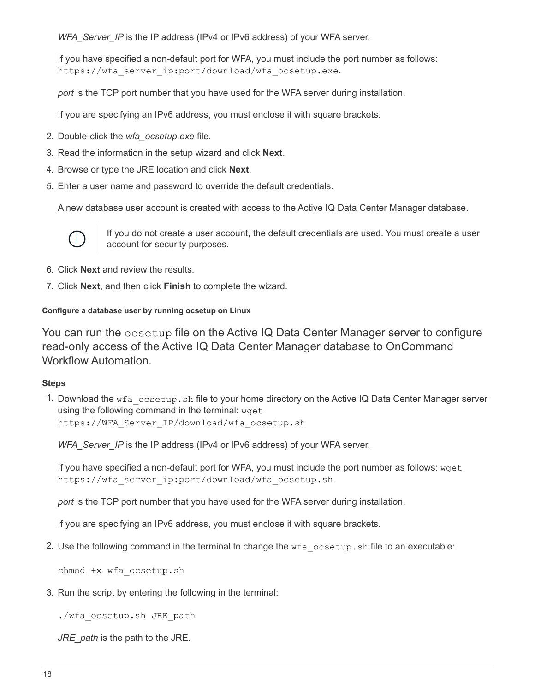*WFA\_Server\_IP* is the IP address (IPv4 or IPv6 address) of your WFA server.

If you have specified a non-default port for WFA, you must include the port number as follows: https://wfa server ip:port/download/wfa ocsetup.exe.

*port* is the TCP port number that you have used for the WFA server during installation.

If you are specifying an IPv6 address, you must enclose it with square brackets.

- 2. Double-click the *wfa\_ocsetup.exe* file.
- 3. Read the information in the setup wizard and click **Next**.
- 4. Browse or type the JRE location and click **Next**.
- 5. Enter a user name and password to override the default credentials.

A new database user account is created with access to the Active IQ Data Center Manager database.



If you do not create a user account, the default credentials are used. You must create a user account for security purposes.

- 6. Click **Next** and review the results.
- 7. Click **Next**, and then click **Finish** to complete the wizard.

#### **Configure a database user by running ocsetup on Linux**

You can run the ocsetup file on the Active IQ Data Center Manager server to configure read-only access of the Active IQ Data Center Manager database to OnCommand Workflow Automation.

#### **Steps**

1. Download the  $wf$  ocsetup.sh file to your home directory on the Active IQ Data Center Manager server using the following command in the terminal: wget https://WFA\_Server\_IP/download/wfa\_ocsetup.sh

*WFA\_Server\_IP* is the IP address (IPv4 or IPv6 address) of your WFA server.

If you have specified a non-default port for WFA, you must include the port number as follows:  $wqet$ https://wfa\_server\_ip:port/download/wfa\_ocsetup.sh

*port* is the TCP port number that you have used for the WFA server during installation.

If you are specifying an IPv6 address, you must enclose it with square brackets.

2. Use the following command in the terminal to change the  $wfa\$  ocsetup.sh file to an executable:

chmod +x wfa\_ocsetup.sh

3. Run the script by entering the following in the terminal:

./wfa\_ocsetup.sh JRE\_path

*JRE* path is the path to the JRE.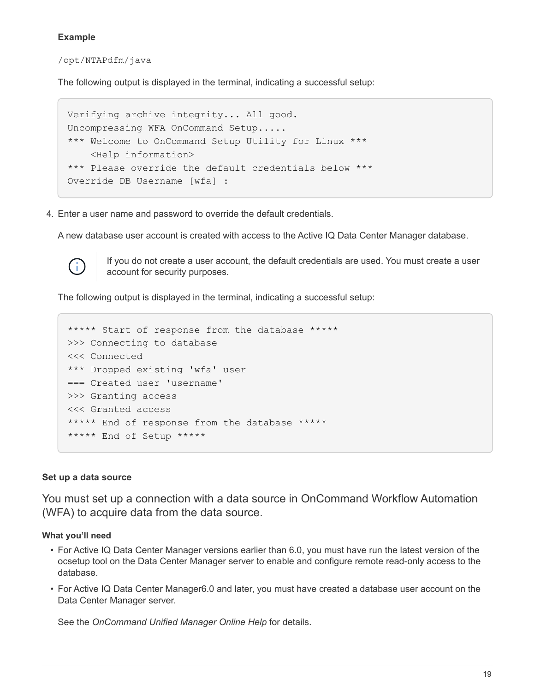#### **Example**

/opt/NTAPdfm/java

The following output is displayed in the terminal, indicating a successful setup:

```
Verifying archive integrity... All good.
Uncompressing WFA OnCommand Setup.....
*** Welcome to OnCommand Setup Utility for Linux ***
      <Help information>
*** Please override the default credentials below ***
Override DB Username [wfa] :
```
4. Enter a user name and password to override the default credentials.

A new database user account is created with access to the Active IQ Data Center Manager database.



If you do not create a user account, the default credentials are used. You must create a user account for security purposes.

The following output is displayed in the terminal, indicating a successful setup:

```
***** Start of response from the database *****
>>> Connecting to database
<<< Connected
*** Dropped existing 'wfa' user
=== Created user 'username'
>>> Granting access
<<< Granted access
***** End of response from the database *****
***** End of Setup *****
```
#### **Set up a data source**

You must set up a connection with a data source in OnCommand Workflow Automation (WFA) to acquire data from the data source.

#### **What you'll need**

- For Active IQ Data Center Manager versions earlier than 6.0, you must have run the latest version of the ocsetup tool on the Data Center Manager server to enable and configure remote read-only access to the database.
- For Active IQ Data Center Manager6.0 and later, you must have created a database user account on the Data Center Manager server.

See the *OnCommand Unified Manager Online Help* for details.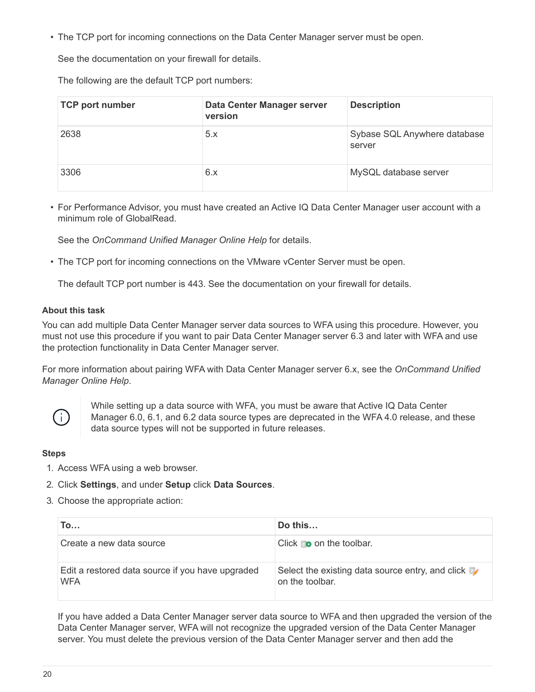• The TCP port for incoming connections on the Data Center Manager server must be open.

See the documentation on your firewall for details.

The following are the default TCP port numbers:

| <b>TCP port number</b> | Data Center Manager server<br>version | <b>Description</b>                     |
|------------------------|---------------------------------------|----------------------------------------|
| 2638                   | 5.x                                   | Sybase SQL Anywhere database<br>server |
| 3306                   | 6.x                                   | MySQL database server                  |

• For Performance Advisor, you must have created an Active IQ Data Center Manager user account with a minimum role of GlobalRead.

See the *OnCommand Unified Manager Online Help* for details.

• The TCP port for incoming connections on the VMware vCenter Server must be open.

The default TCP port number is 443. See the documentation on your firewall for details.

#### **About this task**

You can add multiple Data Center Manager server data sources to WFA using this procedure. However, you must not use this procedure if you want to pair Data Center Manager server 6.3 and later with WFA and use the protection functionality in Data Center Manager server.

For more information about pairing WFA with Data Center Manager server 6.x, see the *OnCommand Unified Manager Online Help*.



While setting up a data source with WFA, you must be aware that Active IQ Data Center Manager 6.0, 6.1, and 6.2 data source types are deprecated in the WFA 4.0 release, and these data source types will not be supported in future releases.

#### **Steps**

- 1. Access WFA using a web browser.
- 2. Click **Settings**, and under **Setup** click **Data Sources**.
- 3. Choose the appropriate action:

| <b>To</b>                                                      | Do this                                                             |
|----------------------------------------------------------------|---------------------------------------------------------------------|
| Create a new data source                                       | Click $\bullet$ on the toolbar.                                     |
| Edit a restored data source if you have upgraded<br><b>WFA</b> | Select the existing data source entry, and click<br>on the toolbar. |

If you have added a Data Center Manager server data source to WFA and then upgraded the version of the Data Center Manager server, WFA will not recognize the upgraded version of the Data Center Manager server. You must delete the previous version of the Data Center Manager server and then add the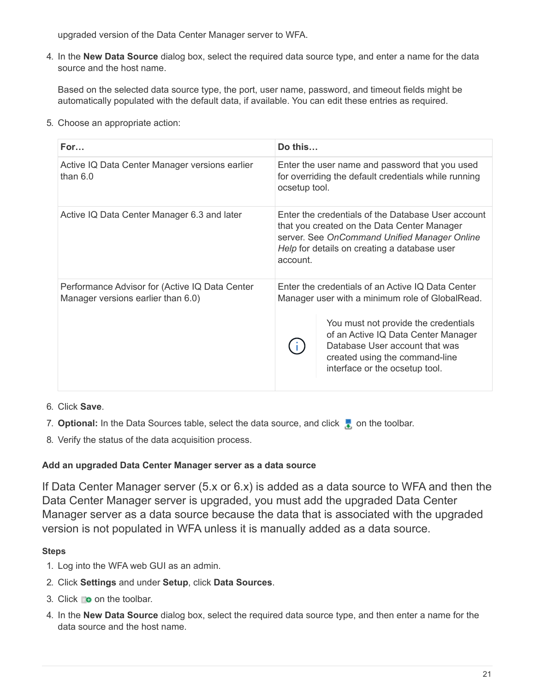upgraded version of the Data Center Manager server to WFA.

4. In the **New Data Source** dialog box, select the required data source type, and enter a name for the data source and the host name.

Based on the selected data source type, the port, user name, password, and timeout fields might be automatically populated with the default data, if available. You can edit these entries as required.

5. Choose an appropriate action:

| For                                                                                  | Do this                                                                                                                                                                                                                                                                                   |
|--------------------------------------------------------------------------------------|-------------------------------------------------------------------------------------------------------------------------------------------------------------------------------------------------------------------------------------------------------------------------------------------|
| Active IQ Data Center Manager versions earlier<br>than $6.0$                         | Enter the user name and password that you used<br>for overriding the default credentials while running<br>ocsetup tool.                                                                                                                                                                   |
| Active IQ Data Center Manager 6.3 and later                                          | Enter the credentials of the Database User account<br>that you created on the Data Center Manager<br>server. See OnCommand Unified Manager Online<br>Help for details on creating a database user<br>account.                                                                             |
| Performance Advisor for (Active IQ Data Center<br>Manager versions earlier than 6.0) | Enter the credentials of an Active IQ Data Center<br>Manager user with a minimum role of GlobalRead.<br>You must not provide the credentials<br>of an Active IQ Data Center Manager<br>Database User account that was<br>created using the command-line<br>interface or the ocsetup tool. |

#### 6. Click **Save**.

- 7. **Optional:** In the Data Sources table, select the data source, and click **the on the toolbar.**
- 8. Verify the status of the data acquisition process.

#### **Add an upgraded Data Center Manager server as a data source**

If Data Center Manager server (5.x or 6.x) is added as a data source to WFA and then the Data Center Manager server is upgraded, you must add the upgraded Data Center Manager server as a data source because the data that is associated with the upgraded version is not populated in WFA unless it is manually added as a data source.

#### **Steps**

- 1. Log into the WFA web GUI as an admin.
- 2. Click **Settings** and under **Setup**, click **Data Sources**.
- 3. Click  $\bullet$  on the toolbar.
- 4. In the **New Data Source** dialog box, select the required data source type, and then enter a name for the data source and the host name.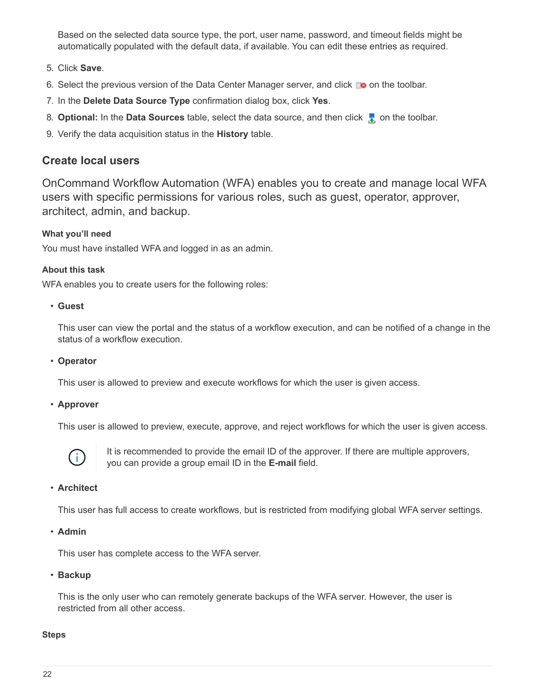Based on the selected data source type, the port, user name, password, and timeout fields might be automatically populated with the default data, if available. You can edit these entries as required.

- 5. Click **Save**.
- 6. Select the previous version of the Data Center Manager server, and click  $\bullet$  on the toolbar.
- 7. In the **Delete Data Source Type** confirmation dialog box, click **Yes**.
- 8. **Optional:** In the **Data Sources** table, select the data source, and then click **the on the toolbar.**
- 9. Verify the data acquisition status in the **History** table.

#### **Create local users**

OnCommand Workflow Automation (WFA) enables you to create and manage local WFA users with specific permissions for various roles, such as guest, operator, approver, architect, admin, and backup.

#### **What you'll need**

You must have installed WFA and logged in as an admin.

#### **About this task**

WFA enables you to create users for the following roles:

• **Guest**

This user can view the portal and the status of a workflow execution, and can be notified of a change in the status of a workflow execution.

• **Operator**

This user is allowed to preview and execute workflows for which the user is given access.

• **Approver**

This user is allowed to preview, execute, approve, and reject workflows for which the user is given access.



It is recommended to provide the email ID of the approver. If there are multiple approvers, you can provide a group email ID in the **E-mail** field.

• **Architect**

This user has full access to create workflows, but is restricted from modifying global WFA server settings.

• **Admin**

This user has complete access to the WFA server.

• **Backup**

This is the only user who can remotely generate backups of the WFA server. However, the user is restricted from all other access.

#### **Steps**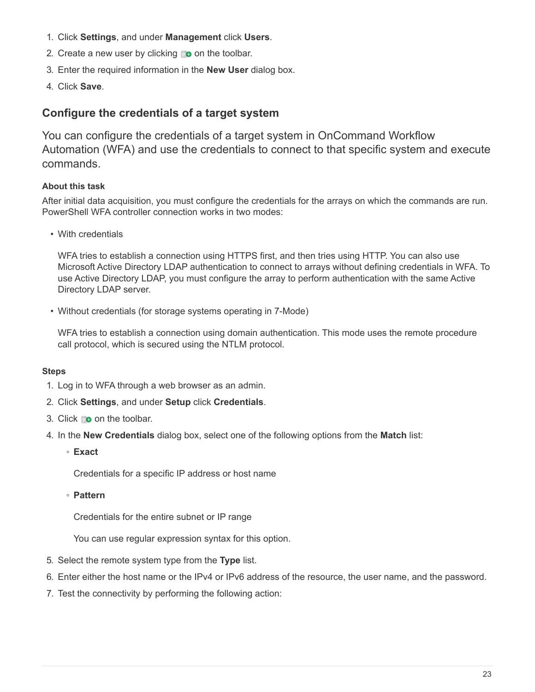- 1. Click **Settings**, and under **Management** click **Users**.
- 2. Create a new user by clicking  $\bullet$  on the toolbar.
- 3. Enter the required information in the **New User** dialog box.
- 4. Click **Save**.

## **Configure the credentials of a target system**

You can configure the credentials of a target system in OnCommand Workflow Automation (WFA) and use the credentials to connect to that specific system and execute commands.

### **About this task**

After initial data acquisition, you must configure the credentials for the arrays on which the commands are run. PowerShell WFA controller connection works in two modes:

• With credentials

WFA tries to establish a connection using HTTPS first, and then tries using HTTP. You can also use Microsoft Active Directory LDAP authentication to connect to arrays without defining credentials in WFA. To use Active Directory LDAP, you must configure the array to perform authentication with the same Active Directory LDAP server.

• Without credentials (for storage systems operating in 7-Mode)

WFA tries to establish a connection using domain authentication. This mode uses the remote procedure call protocol, which is secured using the NTLM protocol.

#### **Steps**

- 1. Log in to WFA through a web browser as an admin.
- 2. Click **Settings**, and under **Setup** click **Credentials**.
- 3. Click  $\bullet$  on the toolbar.
- 4. In the **New Credentials** dialog box, select one of the following options from the **Match** list:
	- **Exact**

Credentials for a specific IP address or host name

◦ **Pattern**

Credentials for the entire subnet or IP range

You can use regular expression syntax for this option.

- 5. Select the remote system type from the **Type** list.
- 6. Enter either the host name or the IPv4 or IPv6 address of the resource, the user name, and the password.
- 7. Test the connectivity by performing the following action: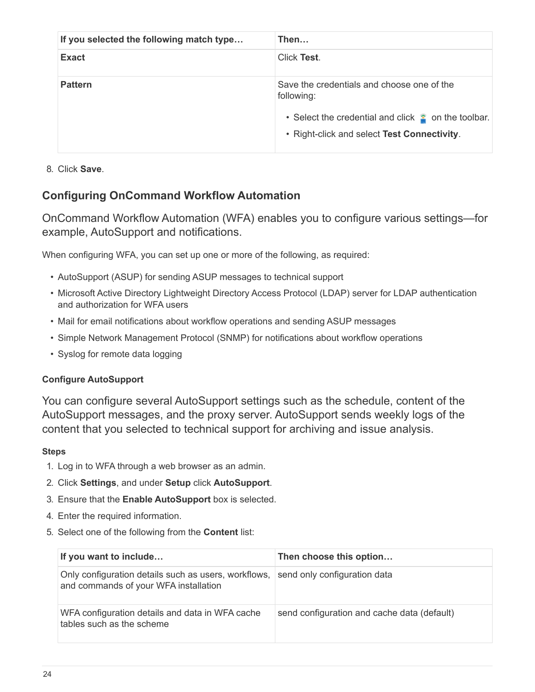| If you selected the following match type | Then…                                                                                                      |
|------------------------------------------|------------------------------------------------------------------------------------------------------------|
| <b>Exact</b>                             | Click Test.                                                                                                |
| <b>Pattern</b>                           | Save the credentials and choose one of the<br>following:                                                   |
|                                          | • Select the credential and click $\bullet$ on the toolbar.<br>• Right-click and select Test Connectivity. |

8. Click **Save**.

## **Configuring OnCommand Workflow Automation**

OnCommand Workflow Automation (WFA) enables you to configure various settings—for example, AutoSupport and notifications.

When configuring WFA, you can set up one or more of the following, as required:

- AutoSupport (ASUP) for sending ASUP messages to technical support
- Microsoft Active Directory Lightweight Directory Access Protocol (LDAP) server for LDAP authentication and authorization for WFA users
- Mail for email notifications about workflow operations and sending ASUP messages
- Simple Network Management Protocol (SNMP) for notifications about workflow operations
- Syslog for remote data logging

#### **Configure AutoSupport**

You can configure several AutoSupport settings such as the schedule, content of the AutoSupport messages, and the proxy server. AutoSupport sends weekly logs of the content that you selected to technical support for archiving and issue analysis.

#### **Steps**

- 1. Log in to WFA through a web browser as an admin.
- 2. Click **Settings**, and under **Setup** click **AutoSupport**.
- 3. Ensure that the **Enable AutoSupport** box is selected.
- 4. Enter the required information.
- 5. Select one of the following from the **Content** list:

| If you want to include                                                                                                     | Then choose this option                     |
|----------------------------------------------------------------------------------------------------------------------------|---------------------------------------------|
| Only configuration details such as users, workflows, send only configuration data<br>and commands of your WFA installation |                                             |
| WFA configuration details and data in WFA cache<br>tables such as the scheme                                               | send configuration and cache data (default) |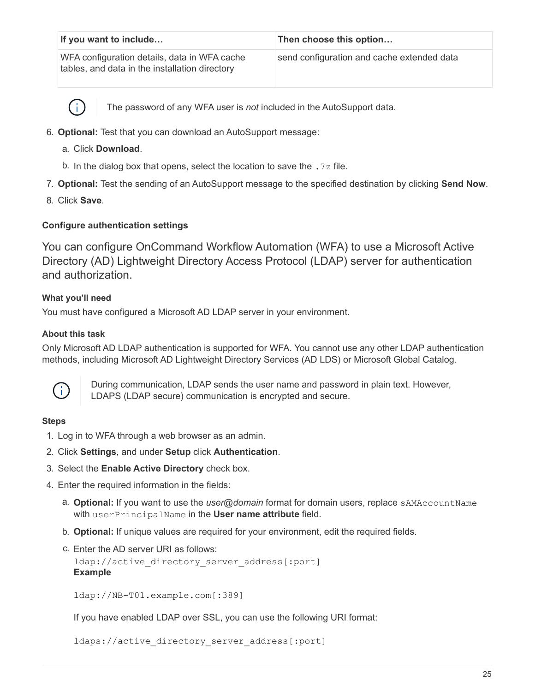| If you want to include                                                                         | Then choose this option                    |
|------------------------------------------------------------------------------------------------|--------------------------------------------|
| WFA configuration details, data in WFA cache<br>tables, and data in the installation directory | send configuration and cache extended data |



The password of any WFA user is *not* included in the AutoSupport data.

- 6. **Optional:** Test that you can download an AutoSupport message:
	- a. Click **Download**.
	- b. In the dialog box that opens, select the location to save the  $.7z$  file.
- 7. **Optional:** Test the sending of an AutoSupport message to the specified destination by clicking **Send Now**.
- 8. Click **Save**.

#### **Configure authentication settings**

You can configure OnCommand Workflow Automation (WFA) to use a Microsoft Active Directory (AD) Lightweight Directory Access Protocol (LDAP) server for authentication and authorization.

#### **What you'll need**

You must have configured a Microsoft AD LDAP server in your environment.

#### **About this task**

Only Microsoft AD LDAP authentication is supported for WFA. You cannot use any other LDAP authentication methods, including Microsoft AD Lightweight Directory Services (AD LDS) or Microsoft Global Catalog.



During communication, LDAP sends the user name and password in plain text. However, LDAPS (LDAP secure) communication is encrypted and secure.

#### **Steps**

- 1. Log in to WFA through a web browser as an admin.
- 2. Click **Settings**, and under **Setup** click **Authentication**.
- 3. Select the **Enable Active Directory** check box.
- 4. Enter the required information in the fields:
	- a. **Optional:** If you want to use the *user@domain* format for domain users, replace sAMAccountName with userPrincipalName in the **User name attribute** field.
	- b. **Optional:** If unique values are required for your environment, edit the required fields.
	- c. Enter the AD server URI as follows:

```
ldap://active directory server address[:port]
Example
```
ldap://NB-T01.example.com[:389]

If you have enabled LDAP over SSL, you can use the following URI format:

ldaps://active directory server address[:port]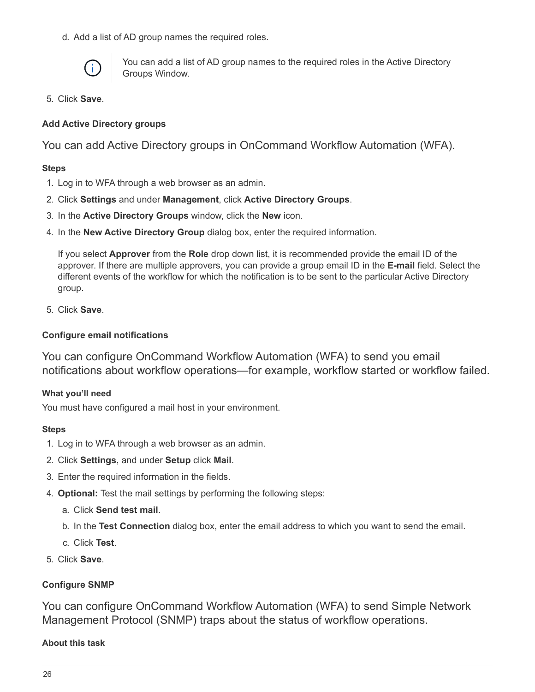d. Add a list of AD group names the required roles.



You can add a list of AD group names to the required roles in the Active Directory Groups Window.

5. Click **Save**.

#### **Add Active Directory groups**

You can add Active Directory groups in OnCommand Workflow Automation (WFA).

#### **Steps**

- 1. Log in to WFA through a web browser as an admin.
- 2. Click **Settings** and under **Management**, click **Active Directory Groups**.
- 3. In the **Active Directory Groups** window, click the **New** icon.
- 4. In the **New Active Directory Group** dialog box, enter the required information.

If you select **Approver** from the **Role** drop down list, it is recommended provide the email ID of the approver. If there are multiple approvers, you can provide a group email ID in the **E-mail** field. Select the different events of the workflow for which the notification is to be sent to the particular Active Directory group.

5. Click **Save**.

#### **Configure email notifications**

You can configure OnCommand Workflow Automation (WFA) to send you email notifications about workflow operations—for example, workflow started or workflow failed.

#### **What you'll need**

You must have configured a mail host in your environment.

#### **Steps**

- 1. Log in to WFA through a web browser as an admin.
- 2. Click **Settings**, and under **Setup** click **Mail**.
- 3. Enter the required information in the fields.
- 4. **Optional:** Test the mail settings by performing the following steps:
	- a. Click **Send test mail**.
	- b. In the **Test Connection** dialog box, enter the email address to which you want to send the email.
	- c. Click **Test**.
- 5. Click **Save**.

#### **Configure SNMP**

You can configure OnCommand Workflow Automation (WFA) to send Simple Network Management Protocol (SNMP) traps about the status of workflow operations.

#### **About this task**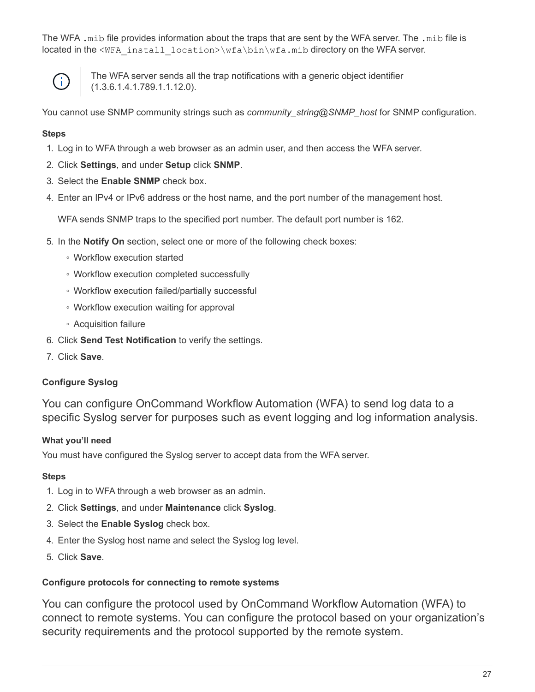The WFA .mib file provides information about the traps that are sent by the WFA server. The .mib file is located in the <WFA\_install\_location>\wfa\bin\wfa.mib directory on the WFA server.



The WFA server sends all the trap notifications with a generic object identifier (1.3.6.1.4.1.789.1.1.12.0).

You cannot use SNMP community strings such as *community string@SNMP host* for SNMP configuration.

#### **Steps**

- 1. Log in to WFA through a web browser as an admin user, and then access the WFA server.
- 2. Click **Settings**, and under **Setup** click **SNMP**.
- 3. Select the **Enable SNMP** check box.
- 4. Enter an IPv4 or IPv6 address or the host name, and the port number of the management host.

WFA sends SNMP traps to the specified port number. The default port number is 162.

- 5. In the **Notify On** section, select one or more of the following check boxes:
	- Workflow execution started
	- Workflow execution completed successfully
	- Workflow execution failed/partially successful
	- Workflow execution waiting for approval
	- Acquisition failure
- 6. Click **Send Test Notification** to verify the settings.
- 7. Click **Save**.

#### **Configure Syslog**

You can configure OnCommand Workflow Automation (WFA) to send log data to a specific Syslog server for purposes such as event logging and log information analysis.

#### **What you'll need**

You must have configured the Syslog server to accept data from the WFA server.

#### **Steps**

- 1. Log in to WFA through a web browser as an admin.
- 2. Click **Settings**, and under **Maintenance** click **Syslog**.
- 3. Select the **Enable Syslog** check box.
- 4. Enter the Syslog host name and select the Syslog log level.
- 5. Click **Save**.

#### **Configure protocols for connecting to remote systems**

You can configure the protocol used by OnCommand Workflow Automation (WFA) to connect to remote systems. You can configure the protocol based on your organization's security requirements and the protocol supported by the remote system.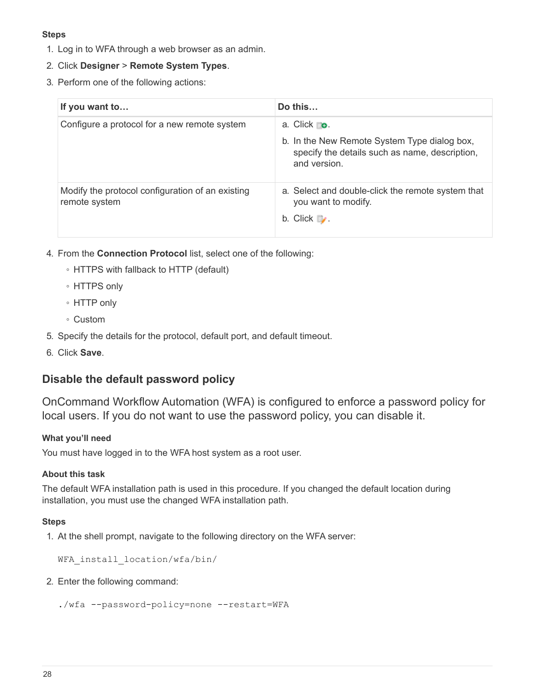#### **Steps**

- 1. Log in to WFA through a web browser as an admin.
- 2. Click **Designer** > **Remote System Types**.
- 3. Perform one of the following actions:

| If you want to                                                    | Do this                                                                                                                       |
|-------------------------------------------------------------------|-------------------------------------------------------------------------------------------------------------------------------|
| Configure a protocol for a new remote system                      | a. Click o.<br>b. In the New Remote System Type dialog box,<br>specify the details such as name, description,<br>and version. |
| Modify the protocol configuration of an existing<br>remote system | a. Select and double-click the remote system that<br>you want to modify.<br>b. Click $\mathcal{L}$ .                          |

- 4. From the **Connection Protocol** list, select one of the following:
	- HTTPS with fallback to HTTP (default)
	- HTTPS only
	- HTTP only
	- Custom
- 5. Specify the details for the protocol, default port, and default timeout.
- 6. Click **Save**.

### **Disable the default password policy**

OnCommand Workflow Automation (WFA) is configured to enforce a password policy for local users. If you do not want to use the password policy, you can disable it.

#### **What you'll need**

You must have logged in to the WFA host system as a root user.

#### **About this task**

The default WFA installation path is used in this procedure. If you changed the default location during installation, you must use the changed WFA installation path.

#### **Steps**

1. At the shell prompt, navigate to the following directory on the WFA server:

```
WFA_install_location/wfa/bin/
```
2. Enter the following command:

```
./wfa --password-policy=none --restart=WFA
```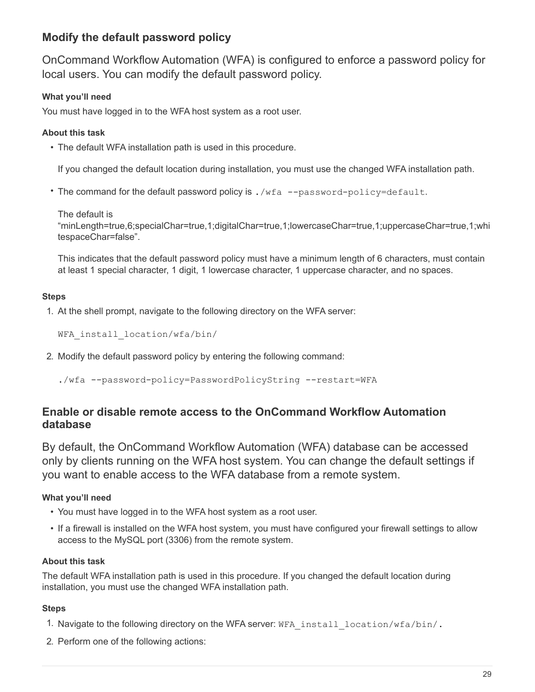## **Modify the default password policy**

OnCommand Workflow Automation (WFA) is configured to enforce a password policy for local users. You can modify the default password policy.

#### **What you'll need**

You must have logged in to the WFA host system as a root user.

#### **About this task**

• The default WFA installation path is used in this procedure.

If you changed the default location during installation, you must use the changed WFA installation path.

• The command for the default password policy is ./wfa --password-policy=default.

The default is

"minLength=true,6;specialChar=true,1;digitalChar=true,1;lowercaseChar=true,1;uppercaseChar=true,1;whi tespaceChar=false".

This indicates that the default password policy must have a minimum length of 6 characters, must contain at least 1 special character, 1 digit, 1 lowercase character, 1 uppercase character, and no spaces.

#### **Steps**

1. At the shell prompt, navigate to the following directory on the WFA server:

```
WFA_install_location/wfa/bin/
```
2. Modify the default password policy by entering the following command:

./wfa --password-policy=PasswordPolicyString --restart=WFA

#### **Enable or disable remote access to the OnCommand Workflow Automation database**

By default, the OnCommand Workflow Automation (WFA) database can be accessed only by clients running on the WFA host system. You can change the default settings if you want to enable access to the WFA database from a remote system.

#### **What you'll need**

- You must have logged in to the WFA host system as a root user.
- If a firewall is installed on the WFA host system, you must have configured your firewall settings to allow access to the MySQL port (3306) from the remote system.

#### **About this task**

The default WFA installation path is used in this procedure. If you changed the default location during installation, you must use the changed WFA installation path.

#### **Steps**

- 1. Navigate to the following directory on the WFA server: WFA install location/wfa/bin/.
- 2. Perform one of the following actions: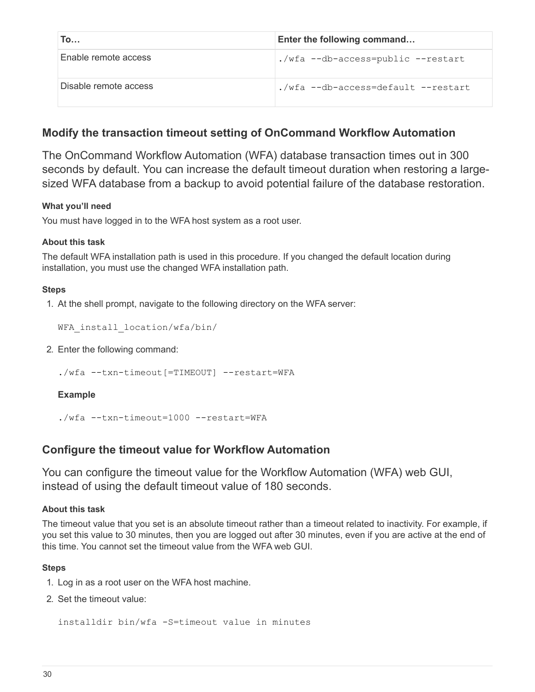| To                    | Enter the following command         |
|-----------------------|-------------------------------------|
| Enable remote access  | ./wfa --db-access=public --restart  |
| Disable remote access | ./wfa --db-access=default --restart |

## **Modify the transaction timeout setting of OnCommand Workflow Automation**

The OnCommand Workflow Automation (WFA) database transaction times out in 300 seconds by default. You can increase the default timeout duration when restoring a largesized WFA database from a backup to avoid potential failure of the database restoration.

#### **What you'll need**

You must have logged in to the WFA host system as a root user.

#### **About this task**

The default WFA installation path is used in this procedure. If you changed the default location during installation, you must use the changed WFA installation path.

#### **Steps**

1. At the shell prompt, navigate to the following directory on the WFA server:

WFA\_install\_location/wfa/bin/

2. Enter the following command:

./wfa --txn-timeout[=TIMEOUT] --restart=WFA

**Example**

```
./wfa --txn-timeout=1000 --restart=WFA
```
## **Configure the timeout value for Workflow Automation**

You can configure the timeout value for the Workflow Automation (WFA) web GUI, instead of using the default timeout value of 180 seconds.

#### **About this task**

The timeout value that you set is an absolute timeout rather than a timeout related to inactivity. For example, if you set this value to 30 minutes, then you are logged out after 30 minutes, even if you are active at the end of this time. You cannot set the timeout value from the WFA web GUI.

#### **Steps**

- 1. Log in as a root user on the WFA host machine.
- 2. Set the timeout value:

installdir bin/wfa -S=timeout value in minutes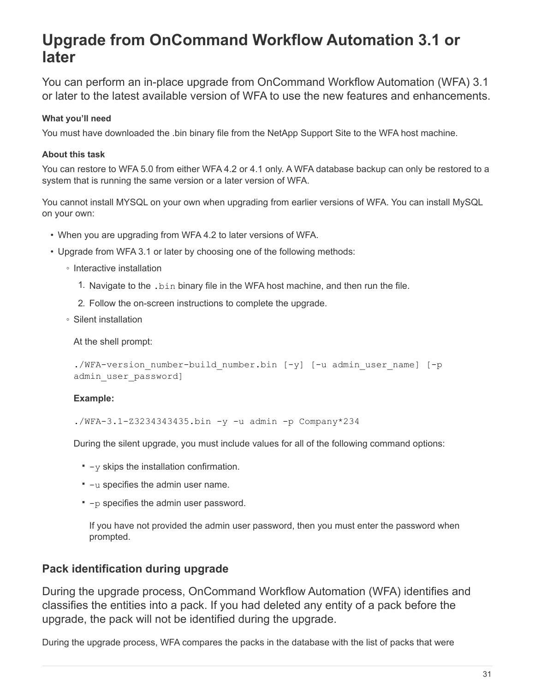## <span id="page-32-0"></span>**Upgrade from OnCommand Workflow Automation 3.1 or later**

You can perform an in-place upgrade from OnCommand Workflow Automation (WFA) 3.1 or later to the latest available version of WFA to use the new features and enhancements.

#### **What you'll need**

You must have downloaded the .bin binary file from the NetApp Support Site to the WFA host machine.

#### **About this task**

You can restore to WFA 5.0 from either WFA 4.2 or 4.1 only. A WFA database backup can only be restored to a system that is running the same version or a later version of WFA.

You cannot install MYSQL on your own when upgrading from earlier versions of WFA. You can install MySQL on your own:

- When you are upgrading from WFA 4.2 to later versions of WFA.
- Upgrade from WFA 3.1 or later by choosing one of the following methods:
	- Interactive installation
		- 1. Navigate to the .bin binary file in the WFA host machine, and then run the file.
		- 2. Follow the on-screen instructions to complete the upgrade.
	- Silent installation

At the shell prompt:

```
./WFA-version number-build number.bin [-y] [-u admin user name] [-p
admin user password]
```
#### **Example:**

./WFA-3.1-Z3234343435.bin -y -u admin -p Company\*234

During the silent upgrade, you must include values for all of the following command options:

- $-<sub>y</sub>$  skips the installation confirmation.
- -u specifies the admin user name.
- -p specifies the admin user password.

If you have not provided the admin user password, then you must enter the password when prompted.

### **Pack identification during upgrade**

During the upgrade process, OnCommand Workflow Automation (WFA) identifies and classifies the entities into a pack. If you had deleted any entity of a pack before the upgrade, the pack will not be identified during the upgrade.

During the upgrade process, WFA compares the packs in the database with the list of packs that were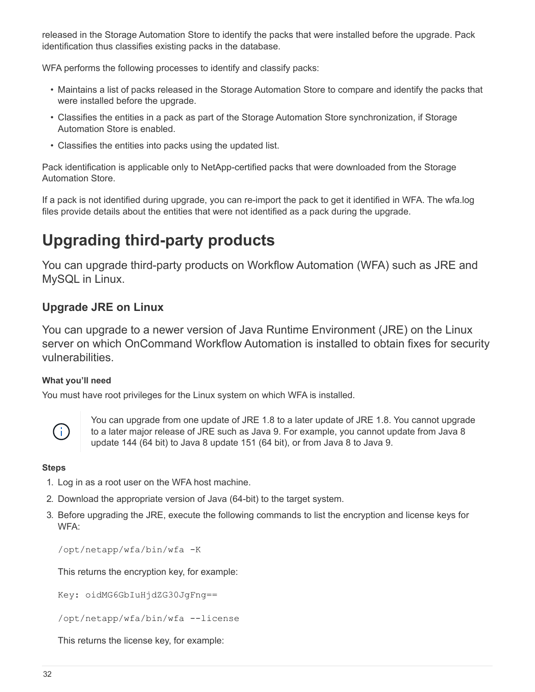released in the Storage Automation Store to identify the packs that were installed before the upgrade. Pack identification thus classifies existing packs in the database.

WFA performs the following processes to identify and classify packs:

- Maintains a list of packs released in the Storage Automation Store to compare and identify the packs that were installed before the upgrade.
- Classifies the entities in a pack as part of the Storage Automation Store synchronization, if Storage Automation Store is enabled.
- Classifies the entities into packs using the updated list.

Pack identification is applicable only to NetApp-certified packs that were downloaded from the Storage Automation Store.

If a pack is not identified during upgrade, you can re-import the pack to get it identified in WFA. The wfa.log files provide details about the entities that were not identified as a pack during the upgrade.

## <span id="page-33-0"></span>**Upgrading third-party products**

You can upgrade third-party products on Workflow Automation (WFA) such as JRE and MySQL in Linux.

## **Upgrade JRE on Linux**

You can upgrade to a newer version of Java Runtime Environment (JRE) on the Linux server on which OnCommand Workflow Automation is installed to obtain fixes for security vulnerabilities.

#### **What you'll need**

You must have root privileges for the Linux system on which WFA is installed.



You can upgrade from one update of JRE 1.8 to a later update of JRE 1.8. You cannot upgrade to a later major release of JRE such as Java 9. For example, you cannot update from Java 8 update 144 (64 bit) to Java 8 update 151 (64 bit), or from Java 8 to Java 9.

#### **Steps**

- 1. Log in as a root user on the WFA host machine.
- 2. Download the appropriate version of Java (64-bit) to the target system.
- 3. Before upgrading the JRE, execute the following commands to list the encryption and license keys for WFA:

/opt/netapp/wfa/bin/wfa -K

This returns the encryption key, for example:

Key: oidMG6GbIuHjdZG30JgFng==

```
/opt/netapp/wfa/bin/wfa --license
```
This returns the license key, for example: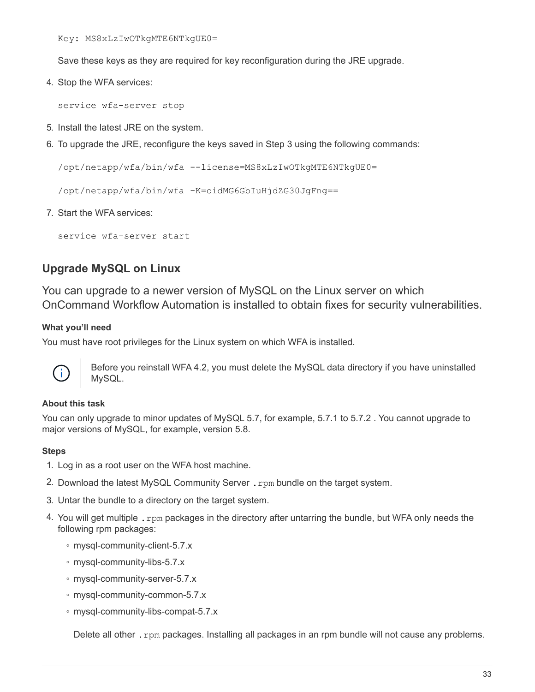Key: MS8xLzIwOTkgMTE6NTkgUE0=

Save these keys as they are required for key reconfiguration during the JRE upgrade.

4. Stop the WFA services:

service wfa-server stop

- 5. Install the latest JRE on the system.
- 6. To upgrade the JRE, reconfigure the keys saved in Step 3 using the following commands:

/opt/netapp/wfa/bin/wfa --license=MS8xLzIwOTkgMTE6NTkgUE0=

/opt/netapp/wfa/bin/wfa -K=oidMG6GbIuHjdZG30JgFng==

7. Start the WFA services:

service wfa-server start

## **Upgrade MySQL on Linux**

You can upgrade to a newer version of MySQL on the Linux server on which OnCommand Workflow Automation is installed to obtain fixes for security vulnerabilities.

#### **What you'll need**

You must have root privileges for the Linux system on which WFA is installed.



Before you reinstall WFA 4.2, you must delete the MySQL data directory if you have uninstalled MySQL.

#### **About this task**

You can only upgrade to minor updates of MySQL 5.7, for example, 5.7.1 to 5.7.2 . You cannot upgrade to major versions of MySQL, for example, version 5.8.

#### **Steps**

- 1. Log in as a root user on the WFA host machine.
- 2. Download the latest MySQL Community Server. rpm bundle on the target system.
- 3. Untar the bundle to a directory on the target system.
- 4. You will get multiple . rpm packages in the directory after untarring the bundle, but WFA only needs the following rpm packages:
	- mysql-community-client-5.7.x
	- mysql-community-libs-5.7.x
	- mysql-community-server-5.7.x
	- mysql-community-common-5.7.x
	- mysql-community-libs-compat-5.7.x

Delete all other . rpm packages. Installing all packages in an rpm bundle will not cause any problems.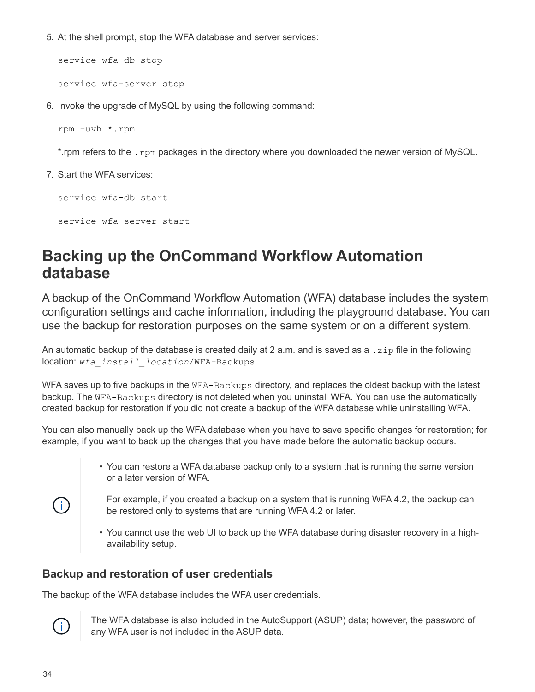5. At the shell prompt, stop the WFA database and server services:

```
service wfa-db stop
```
service wfa-server stop

6. Invoke the upgrade of MySQL by using the following command:

rpm -uvh \*.rpm

\*.rpm refers to the .rpm packages in the directory where you downloaded the newer version of MySQL.

7. Start the WFA services:

```
service wfa-db start
```
service wfa-server start

## <span id="page-35-0"></span>**Backing up the OnCommand Workflow Automation database**

A backup of the OnCommand Workflow Automation (WFA) database includes the system configuration settings and cache information, including the playground database. You can use the backup for restoration purposes on the same system or on a different system.

An automatic backup of the database is created daily at 2 a.m. and is saved as a . zip file in the following location: *wfa\_install\_location*/WFA-Backups.

WFA saves up to five backups in the WFA-Backups directory, and replaces the oldest backup with the latest backup. The WFA-Backups directory is not deleted when you uninstall WFA. You can use the automatically created backup for restoration if you did not create a backup of the WFA database while uninstalling WFA.

You can also manually back up the WFA database when you have to save specific changes for restoration; for example, if you want to back up the changes that you have made before the automatic backup occurs.

> • You can restore a WFA database backup only to a system that is running the same version or a later version of WFA.



For example, if you created a backup on a system that is running WFA 4.2, the backup can be restored only to systems that are running WFA 4.2 or later.

• You cannot use the web UI to back up the WFA database during disaster recovery in a highavailability setup.

## **Backup and restoration of user credentials**

The backup of the WFA database includes the WFA user credentials.



The WFA database is also included in the AutoSupport (ASUP) data; however, the password of any WFA user is not included in the ASUP data.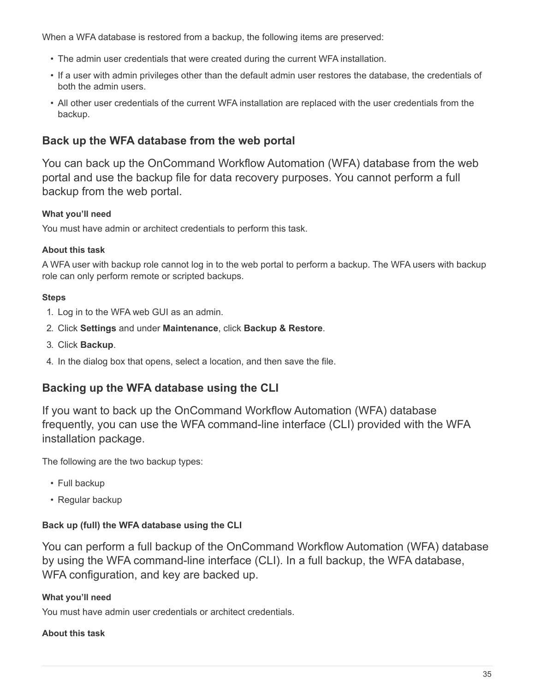When a WFA database is restored from a backup, the following items are preserved:

- The admin user credentials that were created during the current WFA installation.
- If a user with admin privileges other than the default admin user restores the database, the credentials of both the admin users.
- All other user credentials of the current WFA installation are replaced with the user credentials from the backup.

## **Back up the WFA database from the web portal**

You can back up the OnCommand Workflow Automation (WFA) database from the web portal and use the backup file for data recovery purposes. You cannot perform a full backup from the web portal.

#### **What you'll need**

You must have admin or architect credentials to perform this task.

#### **About this task**

A WFA user with backup role cannot log in to the web portal to perform a backup. The WFA users with backup role can only perform remote or scripted backups.

#### **Steps**

- 1. Log in to the WFA web GUI as an admin.
- 2. Click **Settings** and under **Maintenance**, click **Backup & Restore**.
- 3. Click **Backup**.
- 4. In the dialog box that opens, select a location, and then save the file.

## **Backing up the WFA database using the CLI**

If you want to back up the OnCommand Workflow Automation (WFA) database frequently, you can use the WFA command-line interface (CLI) provided with the WFA installation package.

The following are the two backup types:

- Full backup
- Regular backup

#### **Back up (full) the WFA database using the CLI**

You can perform a full backup of the OnCommand Workflow Automation (WFA) database by using the WFA command-line interface (CLI). In a full backup, the WFA database, WFA configuration, and key are backed up.

#### **What you'll need**

You must have admin user credentials or architect credentials.

#### **About this task**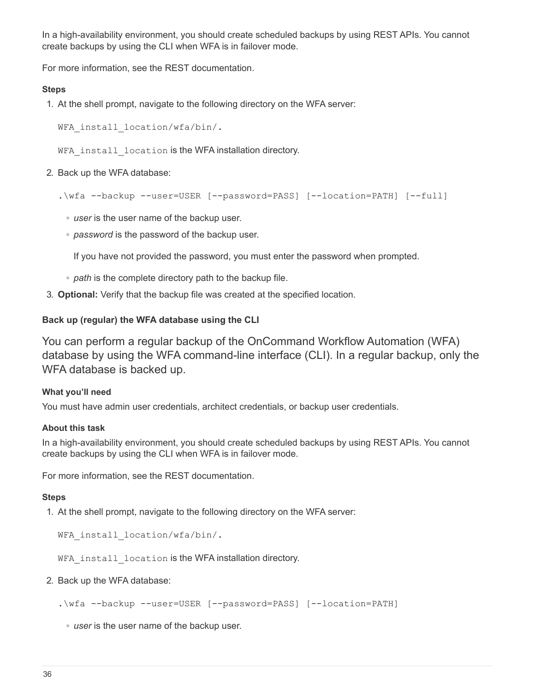In a high-availability environment, you should create scheduled backups by using REST APIs. You cannot create backups by using the CLI when WFA is in failover mode.

For more information, see the REST documentation.

#### **Steps**

1. At the shell prompt, navigate to the following directory on the WFA server:

```
WFA install location/wfa/bin/.
```
WFA install location is the WFA installation directory.

2. Back up the WFA database:

.\wfa --backup --user=USER [--password=PASS] [--location=PATH] [--full]

- *user* is the user name of the backup user.
- *password* is the password of the backup user.

If you have not provided the password, you must enter the password when prompted.

- *path* is the complete directory path to the backup file.
- 3. **Optional:** Verify that the backup file was created at the specified location.

#### **Back up (regular) the WFA database using the CLI**

You can perform a regular backup of the OnCommand Workflow Automation (WFA) database by using the WFA command-line interface (CLI). In a regular backup, only the WFA database is backed up.

#### **What you'll need**

You must have admin user credentials, architect credentials, or backup user credentials.

#### **About this task**

In a high-availability environment, you should create scheduled backups by using REST APIs. You cannot create backups by using the CLI when WFA is in failover mode.

For more information, see the REST documentation.

#### **Steps**

1. At the shell prompt, navigate to the following directory on the WFA server:

```
WFA install location/wfa/bin/.
```
WFA install location is the WFA installation directory.

2. Back up the WFA database:

```
.\wfa --backup --user=USER [--password=PASS] [--location=PATH]
```
◦ *user* is the user name of the backup user.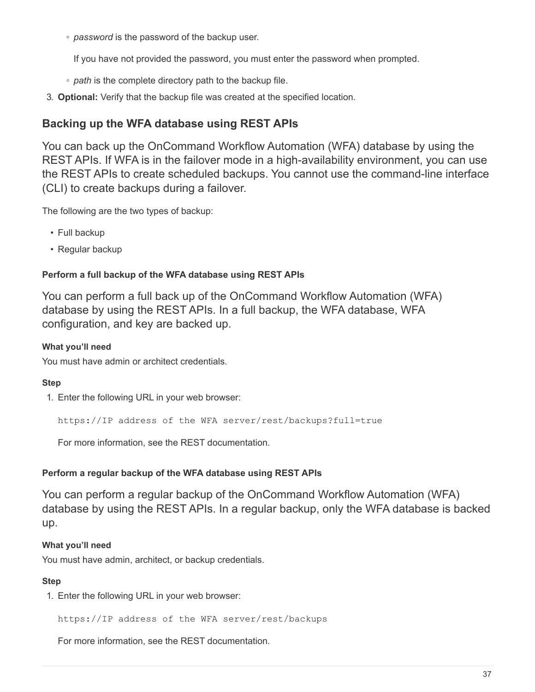◦ *password* is the password of the backup user.

If you have not provided the password, you must enter the password when prompted.

- *path* is the complete directory path to the backup file.
- 3. **Optional:** Verify that the backup file was created at the specified location.

### **Backing up the WFA database using REST APIs**

You can back up the OnCommand Workflow Automation (WFA) database by using the REST APIs. If WFA is in the failover mode in a high-availability environment, you can use the REST APIs to create scheduled backups. You cannot use the command-line interface (CLI) to create backups during a failover.

The following are the two types of backup:

- Full backup
- Regular backup

#### **Perform a full backup of the WFA database using REST APIs**

You can perform a full back up of the OnCommand Workflow Automation (WFA) database by using the REST APIs. In a full backup, the WFA database, WFA configuration, and key are backed up.

#### **What you'll need**

You must have admin or architect credentials.

#### **Step**

1. Enter the following URL in your web browser:

https://IP address of the WFA server/rest/backups?full=true

For more information, see the REST documentation.

#### **Perform a regular backup of the WFA database using REST APIs**

You can perform a regular backup of the OnCommand Workflow Automation (WFA) database by using the REST APIs. In a regular backup, only the WFA database is backed up.

#### **What you'll need**

You must have admin, architect, or backup credentials.

#### **Step**

1. Enter the following URL in your web browser:

https://IP address of the WFA server/rest/backups

For more information, see the REST documentation.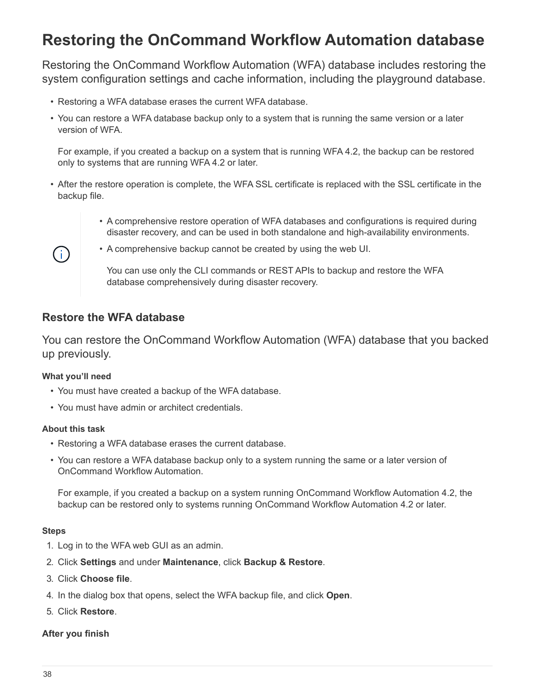## <span id="page-39-0"></span>**Restoring the OnCommand Workflow Automation database**

Restoring the OnCommand Workflow Automation (WFA) database includes restoring the system configuration settings and cache information, including the playground database.

- Restoring a WFA database erases the current WFA database.
- You can restore a WFA database backup only to a system that is running the same version or a later version of WFA.

For example, if you created a backup on a system that is running WFA 4.2, the backup can be restored only to systems that are running WFA 4.2 or later.

- After the restore operation is complete, the WFA SSL certificate is replaced with the SSL certificate in the backup file.
	- A comprehensive restore operation of WFA databases and configurations is required during disaster recovery, and can be used in both standalone and high-availability environments.
- (i)
- A comprehensive backup cannot be created by using the web UI.

You can use only the CLI commands or REST APIs to backup and restore the WFA database comprehensively during disaster recovery.

### **Restore the WFA database**

You can restore the OnCommand Workflow Automation (WFA) database that you backed up previously.

#### **What you'll need**

- You must have created a backup of the WFA database.
- You must have admin or architect credentials.

#### **About this task**

- Restoring a WFA database erases the current database.
- You can restore a WFA database backup only to a system running the same or a later version of OnCommand Workflow Automation.

For example, if you created a backup on a system running OnCommand Workflow Automation 4.2, the backup can be restored only to systems running OnCommand Workflow Automation 4.2 or later.

#### **Steps**

- 1. Log in to the WFA web GUI as an admin.
- 2. Click **Settings** and under **Maintenance**, click **Backup & Restore**.
- 3. Click **Choose file**.
- 4. In the dialog box that opens, select the WFA backup file, and click **Open**.
- 5. Click **Restore**.

#### **After you finish**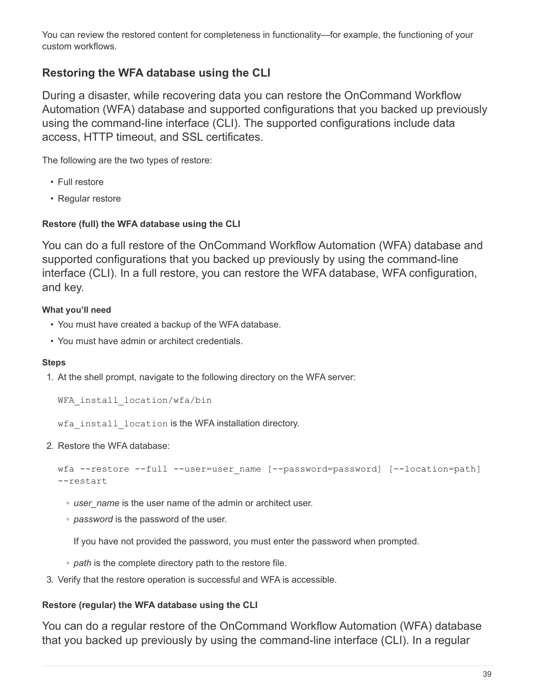You can review the restored content for completeness in functionality—for example, the functioning of your custom workflows.

## **Restoring the WFA database using the CLI**

During a disaster, while recovering data you can restore the OnCommand Workflow Automation (WFA) database and supported configurations that you backed up previously using the command-line interface (CLI). The supported configurations include data access, HTTP timeout, and SSL certificates.

The following are the two types of restore:

- Full restore
- Regular restore

#### **Restore (full) the WFA database using the CLI**

You can do a full restore of the OnCommand Workflow Automation (WFA) database and supported configurations that you backed up previously by using the command-line interface (CLI). In a full restore, you can restore the WFA database, WFA configuration, and key.

#### **What you'll need**

- You must have created a backup of the WFA database.
- You must have admin or architect credentials.

#### **Steps**

1. At the shell prompt, navigate to the following directory on the WFA server:

WFA\_install\_location/wfa/bin

wfa install location is the WFA installation directory.

2. Restore the WFA database:

```
wfa --restore --full --user=user name [--password=password] [--location=path]
--restart
```
- *user\_name* is the user name of the admin or architect user.
- *password* is the password of the user.

If you have not provided the password, you must enter the password when prompted.

- *path* is the complete directory path to the restore file.
- 3. Verify that the restore operation is successful and WFA is accessible.

#### **Restore (regular) the WFA database using the CLI**

You can do a regular restore of the OnCommand Workflow Automation (WFA) database that you backed up previously by using the command-line interface (CLI). In a regular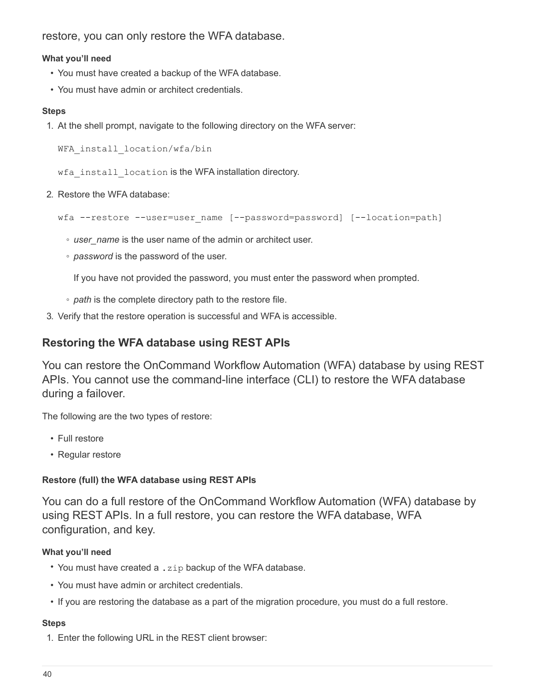restore, you can only restore the WFA database.

#### **What you'll need**

- You must have created a backup of the WFA database.
- You must have admin or architect credentials.

#### **Steps**

1. At the shell prompt, navigate to the following directory on the WFA server:

```
WFA install location/wfa/bin
```
wfa install location is the WFA installation directory.

2. Restore the WFA database:

```
wfa --restore --user=user name [--password=password] [--location=path]
```
- *user\_name* is the user name of the admin or architect user.
- *password* is the password of the user.

If you have not provided the password, you must enter the password when prompted.

- *path* is the complete directory path to the restore file.
- 3. Verify that the restore operation is successful and WFA is accessible.

## **Restoring the WFA database using REST APIs**

You can restore the OnCommand Workflow Automation (WFA) database by using REST APIs. You cannot use the command-line interface (CLI) to restore the WFA database during a failover.

The following are the two types of restore:

- Full restore
- Regular restore

#### **Restore (full) the WFA database using REST APIs**

You can do a full restore of the OnCommand Workflow Automation (WFA) database by using REST APIs. In a full restore, you can restore the WFA database, WFA configuration, and key.

#### **What you'll need**

- You must have created a . zip backup of the WFA database.
- You must have admin or architect credentials.
- If you are restoring the database as a part of the migration procedure, you must do a full restore.

#### **Steps**

1. Enter the following URL in the REST client browser: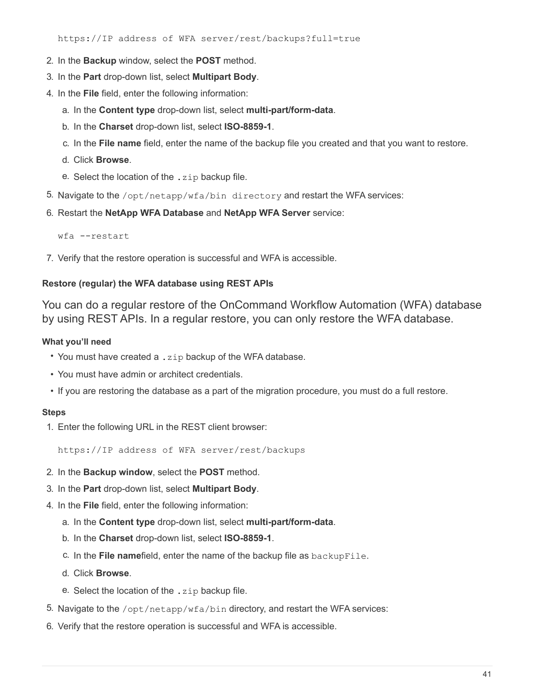https://IP address of WFA server/rest/backups?full=true

- 2. In the **Backup** window, select the **POST** method.
- 3. In the **Part** drop-down list, select **Multipart Body**.
- 4. In the **File** field, enter the following information:
	- a. In the **Content type** drop-down list, select **multi-part/form-data**.
	- b. In the **Charset** drop-down list, select **ISO-8859-1**.
	- c. In the **File name** field, enter the name of the backup file you created and that you want to restore.
	- d. Click **Browse**.
	- e. Select the location of the .zip backup file.
- 5. Navigate to the /opt/netapp/wfa/bin directory and restart the WFA services:
- 6. Restart the **NetApp WFA Database** and **NetApp WFA Server** service:

wfa --restart

7. Verify that the restore operation is successful and WFA is accessible.

#### **Restore (regular) the WFA database using REST APIs**

You can do a regular restore of the OnCommand Workflow Automation (WFA) database by using REST APIs. In a regular restore, you can only restore the WFA database.

#### **What you'll need**

- You must have created a .zip backup of the WFA database.
- You must have admin or architect credentials.
- If you are restoring the database as a part of the migration procedure, you must do a full restore.

#### **Steps**

1. Enter the following URL in the REST client browser:

https://IP address of WFA server/rest/backups

- 2. In the **Backup window**, select the **POST** method.
- 3. In the **Part** drop-down list, select **Multipart Body**.
- 4. In the **File** field, enter the following information:
	- a. In the **Content type** drop-down list, select **multi-part/form-data**.
	- b. In the **Charset** drop-down list, select **ISO-8859-1**.
	- c. In the **File name**field, enter the name of the backup file as backupFile.
	- d. Click **Browse**.
	- e. Select the location of the . zip backup file.
- 5. Navigate to the /opt/netapp/wfa/bin directory, and restart the WFA services:
- 6. Verify that the restore operation is successful and WFA is accessible.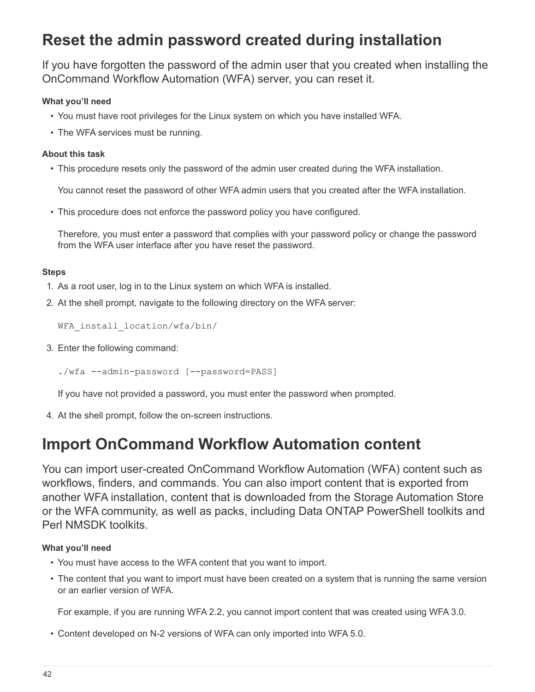## <span id="page-43-0"></span>**Reset the admin password created during installation**

If you have forgotten the password of the admin user that you created when installing the OnCommand Workflow Automation (WFA) server, you can reset it.

#### **What you'll need**

- You must have root privileges for the Linux system on which you have installed WFA.
- The WFA services must be running.

#### **About this task**

• This procedure resets only the password of the admin user created during the WFA installation.

You cannot reset the password of other WFA admin users that you created after the WFA installation.

• This procedure does not enforce the password policy you have configured.

Therefore, you must enter a password that complies with your password policy or change the password from the WFA user interface after you have reset the password.

#### **Steps**

- 1. As a root user, log in to the Linux system on which WFA is installed.
- 2. At the shell prompt, navigate to the following directory on the WFA server:

WFA\_install\_location/wfa/bin/

3. Enter the following command:

./wfa --admin-password [--password=PASS]

If you have not provided a password, you must enter the password when prompted.

4. At the shell prompt, follow the on-screen instructions.

## <span id="page-43-1"></span>**Import OnCommand Workflow Automation content**

You can import user-created OnCommand Workflow Automation (WFA) content such as workflows, finders, and commands. You can also import content that is exported from another WFA installation, content that is downloaded from the Storage Automation Store or the WFA community, as well as packs, including Data ONTAP PowerShell toolkits and Perl NMSDK toolkits.

#### **What you'll need**

- You must have access to the WFA content that you want to import.
- The content that you want to import must have been created on a system that is running the same version or an earlier version of WFA.

For example, if you are running WFA 2.2, you cannot import content that was created using WFA 3.0.

• Content developed on N-2 versions of WFA can only imported into WFA 5.0.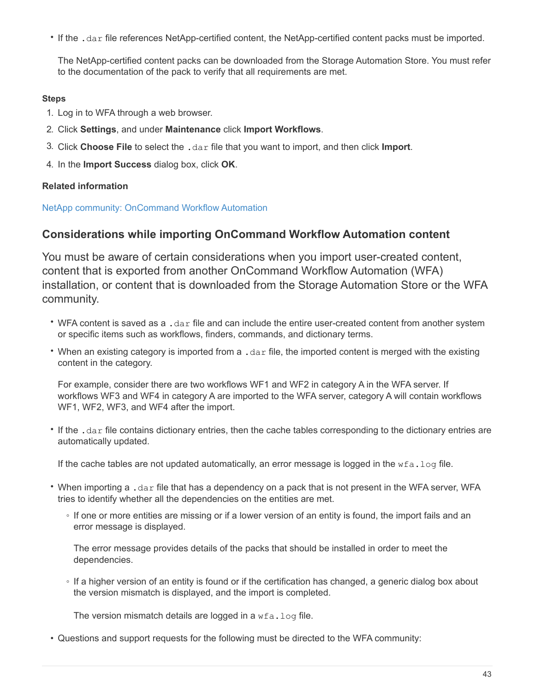• If the . dar file references NetApp-certified content, the NetApp-certified content packs must be imported.

The NetApp-certified content packs can be downloaded from the Storage Automation Store. You must refer to the documentation of the pack to verify that all requirements are met.

#### **Steps**

- 1. Log in to WFA through a web browser.
- 2. Click **Settings**, and under **Maintenance** click **Import Workflows**.
- 3. Click **Choose File** to select the .dar file that you want to import, and then click **Import**.
- 4. In the **Import Success** dialog box, click **OK**.

#### **Related information**

[NetApp community: OnCommand Workflow Automation](http://community.netapp.com/t5/OnCommand-Storage-Management-Software-Articles-and-Resources/tkb-p/oncommand-storage-management-software-articles-and-resources/label-name/workflow%20automation%20%28wfa%29?labels=workflow+automation+%28wfa%29)

### **Considerations while importing OnCommand Workflow Automation content**

You must be aware of certain considerations when you import user-created content, content that is exported from another OnCommand Workflow Automation (WFA) installation, or content that is downloaded from the Storage Automation Store or the WFA community.

- WFA content is saved as a .dar file and can include the entire user-created content from another system or specific items such as workflows, finders, commands, and dictionary terms.
- When an existing category is imported from a .dar file, the imported content is merged with the existing content in the category.

For example, consider there are two workflows WF1 and WF2 in category A in the WFA server. If workflows WF3 and WF4 in category A are imported to the WFA server, category A will contain workflows WF1, WF2, WF3, and WF4 after the import.

• If the .dar file contains dictionary entries, then the cache tables corresponding to the dictionary entries are automatically updated.

If the cache tables are not updated automatically, an error message is logged in the  $wfa.log file.$ 

- When importing a .dar file that has a dependency on a pack that is not present in the WFA server, WFA tries to identify whether all the dependencies on the entities are met.
	- If one or more entities are missing or if a lower version of an entity is found, the import fails and an error message is displayed.

The error message provides details of the packs that should be installed in order to meet the dependencies.

◦ If a higher version of an entity is found or if the certification has changed, a generic dialog box about the version mismatch is displayed, and the import is completed.

The version mismatch details are logged in a  $wfa.log file.$ 

• Questions and support requests for the following must be directed to the WFA community: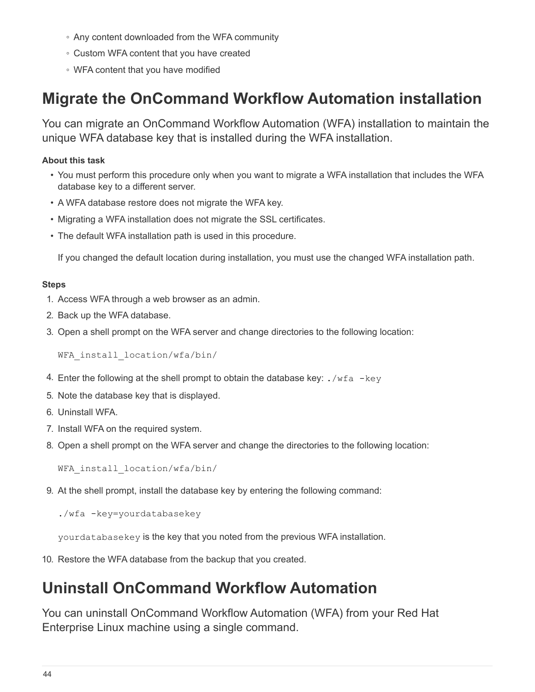- Any content downloaded from the WFA community
- Custom WFA content that you have created
- WFA content that you have modified

## <span id="page-45-0"></span>**Migrate the OnCommand Workflow Automation installation**

You can migrate an OnCommand Workflow Automation (WFA) installation to maintain the unique WFA database key that is installed during the WFA installation.

#### **About this task**

- You must perform this procedure only when you want to migrate a WFA installation that includes the WFA database key to a different server.
- A WFA database restore does not migrate the WFA key.
- Migrating a WFA installation does not migrate the SSL certificates.
- The default WFA installation path is used in this procedure.

If you changed the default location during installation, you must use the changed WFA installation path.

#### **Steps**

- 1. Access WFA through a web browser as an admin.
- 2. Back up the WFA database.
- 3. Open a shell prompt on the WFA server and change directories to the following location:

WFA\_install\_location/wfa/bin/

- 4. Enter the following at the shell prompt to obtain the database key:  $\sqrt{w}$  fa  $-$ key
- 5. Note the database key that is displayed.
- 6. Uninstall WFA.
- 7. Install WFA on the required system.
- 8. Open a shell prompt on the WFA server and change the directories to the following location:

WFA\_install\_location/wfa/bin/

9. At the shell prompt, install the database key by entering the following command:

```
./wfa -key=yourdatabasekey
```
yourdatabasekey is the key that you noted from the previous WFA installation.

10. Restore the WFA database from the backup that you created.

## <span id="page-45-1"></span>**Uninstall OnCommand Workflow Automation**

You can uninstall OnCommand Workflow Automation (WFA) from your Red Hat Enterprise Linux machine using a single command.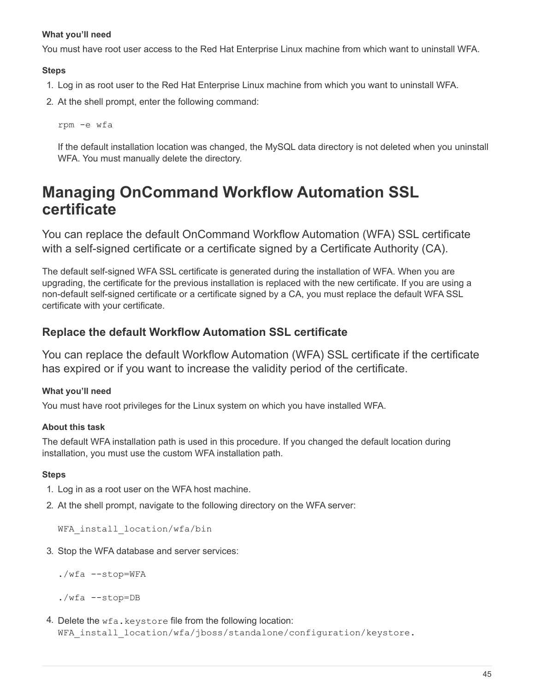#### **What you'll need**

You must have root user access to the Red Hat Enterprise Linux machine from which want to uninstall WFA.

#### **Steps**

- 1. Log in as root user to the Red Hat Enterprise Linux machine from which you want to uninstall WFA.
- 2. At the shell prompt, enter the following command:

rpm -e wfa

If the default installation location was changed, the MySQL data directory is not deleted when you uninstall WFA. You must manually delete the directory.

## <span id="page-46-0"></span>**Managing OnCommand Workflow Automation SSL certificate**

You can replace the default OnCommand Workflow Automation (WFA) SSL certificate with a self-signed certificate or a certificate signed by a Certificate Authority (CA).

The default self-signed WFA SSL certificate is generated during the installation of WFA. When you are upgrading, the certificate for the previous installation is replaced with the new certificate. If you are using a non-default self-signed certificate or a certificate signed by a CA, you must replace the default WFA SSL certificate with your certificate.

## **Replace the default Workflow Automation SSL certificate**

You can replace the default Workflow Automation (WFA) SSL certificate if the certificate has expired or if you want to increase the validity period of the certificate.

#### **What you'll need**

You must have root privileges for the Linux system on which you have installed WFA.

#### **About this task**

The default WFA installation path is used in this procedure. If you changed the default location during installation, you must use the custom WFA installation path.

#### **Steps**

- 1. Log in as a root user on the WFA host machine.
- 2. At the shell prompt, navigate to the following directory on the WFA server:

WFA\_install\_location/wfa/bin

3. Stop the WFA database and server services:

./wfa --stop=WFA

./wfa --stop=DB

4. Delete the  $wfa$ , keystore file from the following location: WFA install location/wfa/jboss/standalone/configuration/keystore.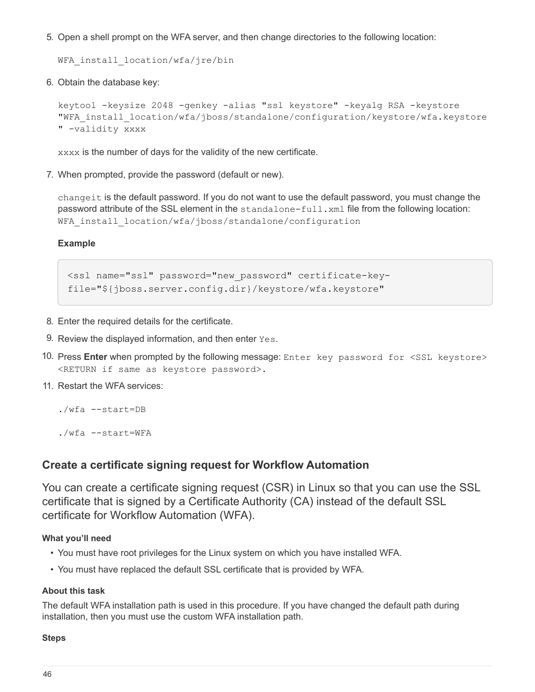5. Open a shell prompt on the WFA server, and then change directories to the following location:

```
WFA install location/wfa/jre/bin
```
6. Obtain the database key:

```
keytool -keysize 2048 -genkey -alias "ssl keystore" -keyalg RSA -keystore
"WFA_install_location/wfa/jboss/standalone/configuration/keystore/wfa.keystore
" -validity xxxx
```
xxxx is the number of days for the validity of the new certificate.

7. When prompted, provide the password (default or new).

changeit is the default password. If you do not want to use the default password, you must change the password attribute of the SSL element in the standalone-full.xml file from the following location: WFA install location/wfa/jboss/standalone/configuration

**Example**

```
<ssl name="ssl" password="new_password" certificate-key-
file="${jboss.server.config.dir}/keystore/wfa.keystore"
```
- 8. Enter the required details for the certificate.
- 9. Review the displayed information, and then enter Yes.
- 10. Press **Enter** when prompted by the following message: Enter key password for <SSL keystore> <RETURN if same as keystore password>.
- 11. Restart the WFA services:

./wfa --start=DB

./wfa --start=WFA

### **Create a certificate signing request for Workflow Automation**

You can create a certificate signing request (CSR) in Linux so that you can use the SSL certificate that is signed by a Certificate Authority (CA) instead of the default SSL certificate for Workflow Automation (WFA).

#### **What you'll need**

- You must have root privileges for the Linux system on which you have installed WFA.
- You must have replaced the default SSL certificate that is provided by WFA.

#### **About this task**

The default WFA installation path is used in this procedure. If you have changed the default path during installation, then you must use the custom WFA installation path.

#### **Steps**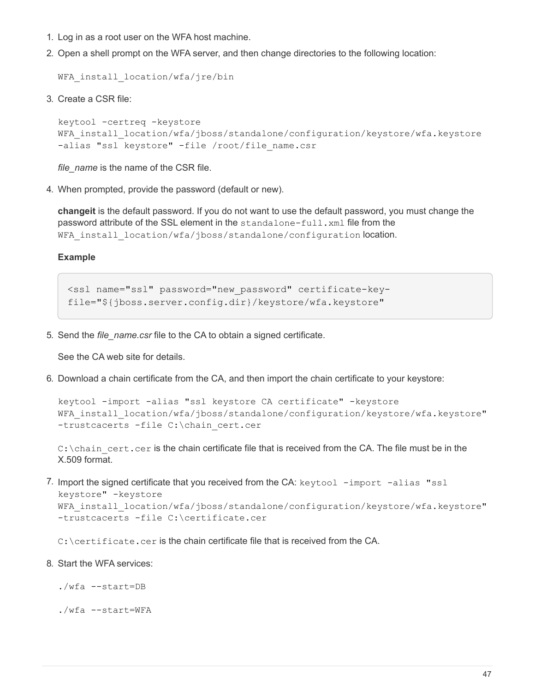- 1. Log in as a root user on the WFA host machine.
- 2. Open a shell prompt on the WFA server, and then change directories to the following location:

```
WFA install location/wfa/jre/bin
```
3. Create a CSR file:

```
keytool -certreq -keystore
WFA install location/wfa/jboss/standalone/configuration/keystore/wfa.keystore
-alias "ssl keystore" -file /root/file name.csr
```
*file\_name* is the name of the CSR file.

4. When prompted, provide the password (default or new).

**changeit** is the default password. If you do not want to use the default password, you must change the password attribute of the SSL element in the standalone-full.xml file from the WFA install location/wfa/jboss/standalone/configuration location.

#### **Example**

```
<ssl name="ssl" password="new_password" certificate-key-
file="${jboss.server.config.dir}/keystore/wfa.keystore"
```
5. Send the *file\_name.csr* file to the CA to obtain a signed certificate.

See the CA web site for details.

6. Download a chain certificate from the CA, and then import the chain certificate to your keystore:

```
keytool -import -alias "ssl keystore CA certificate" -keystore
WFA_install_location/wfa/jboss/standalone/configuration/keystore/wfa.keystore"
-trustcacerts -file C:\chain_cert.cer
```
 $C:\Lambda$  chain cert.cer is the chain certificate file that is received from the CA. The file must be in the X.509 format.

7. Import the signed certificate that you received from the CA:  $keytool -import -alias "ssl$ keystore" -keystore

```
WFA_install_location/wfa/jboss/standalone/configuration/keystore/wfa.keystore"
-trustcacerts -file C:\certificate.cer
```
C:\certificate.cer is the chain certificate file that is received from the CA.

#### 8. Start the WFA services:

- ./wfa --start=DB
- ./wfa --start=WFA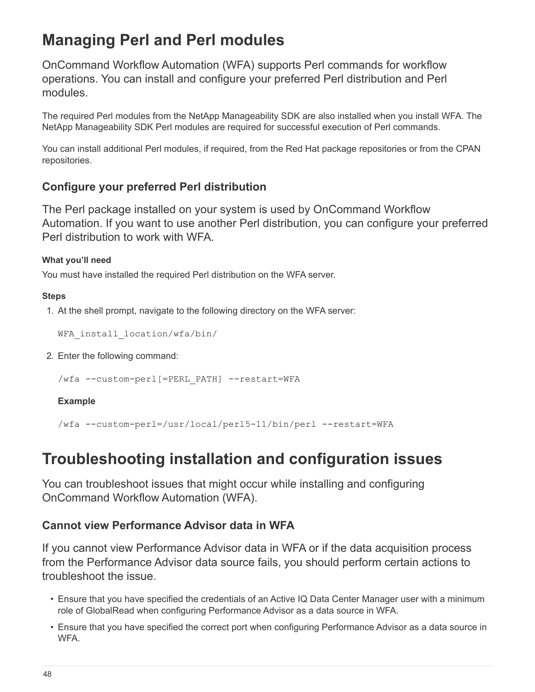## <span id="page-49-0"></span>**Managing Perl and Perl modules**

OnCommand Workflow Automation (WFA) supports Perl commands for workflow operations. You can install and configure your preferred Perl distribution and Perl modules.

The required Perl modules from the NetApp Manageability SDK are also installed when you install WFA. The NetApp Manageability SDK Perl modules are required for successful execution of Perl commands.

You can install additional Perl modules, if required, from the Red Hat package repositories or from the CPAN repositories.

## **Configure your preferred Perl distribution**

The Perl package installed on your system is used by OnCommand Workflow Automation. If you want to use another Perl distribution, you can configure your preferred Perl distribution to work with WFA.

#### **What you'll need**

You must have installed the required Perl distribution on the WFA server.

### **Steps**

1. At the shell prompt, navigate to the following directory on the WFA server:

WFA\_install\_location/wfa/bin/

2. Enter the following command:

/wfa --custom-perl [=PERL PATH] --restart=WFA

#### **Example**

```
/wfa --custom-perl=/usr/local/perl5-11/bin/perl --restart=WFA
```
## <span id="page-49-1"></span>**Troubleshooting installation and configuration issues**

You can troubleshoot issues that might occur while installing and configuring OnCommand Workflow Automation (WFA).

## **Cannot view Performance Advisor data in WFA**

If you cannot view Performance Advisor data in WFA or if the data acquisition process from the Performance Advisor data source fails, you should perform certain actions to troubleshoot the issue.

- Ensure that you have specified the credentials of an Active IQ Data Center Manager user with a minimum role of GlobalRead when configuring Performance Advisor as a data source in WFA.
- Ensure that you have specified the correct port when configuring Performance Advisor as a data source in WFA.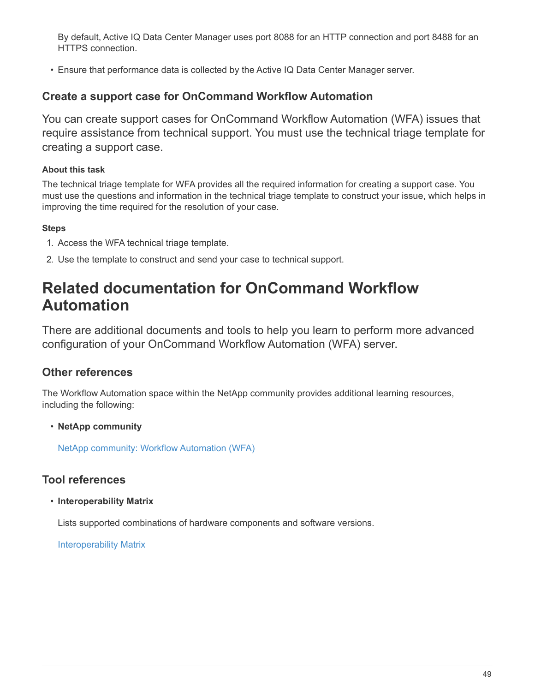By default, Active IQ Data Center Manager uses port 8088 for an HTTP connection and port 8488 for an HTTPS connection.

• Ensure that performance data is collected by the Active IQ Data Center Manager server.

### **Create a support case for OnCommand Workflow Automation**

You can create support cases for OnCommand Workflow Automation (WFA) issues that require assistance from technical support. You must use the technical triage template for creating a support case.

#### **About this task**

The technical triage template for WFA provides all the required information for creating a support case. You must use the questions and information in the technical triage template to construct your issue, which helps in improving the time required for the resolution of your case.

#### **Steps**

- 1. Access the WFA technical triage template.
- 2. Use the template to construct and send your case to technical support.

## <span id="page-50-0"></span>**Related documentation for OnCommand Workflow Automation**

There are additional documents and tools to help you learn to perform more advanced configuration of your OnCommand Workflow Automation (WFA) server.

## **Other references**

The Workflow Automation space within the NetApp community provides additional learning resources, including the following:

• **NetApp community**

[NetApp community: Workflow Automation \(WFA\)](http://community.netapp.com/t5/OnCommand-Storage-Management-Software-Articles-and-Resources/tkb-p/oncommand-storage-management-software-articles-and-resources/label-name/workflow%20automation%20%28wfa%29?labels=workflow+automation+%28wfa%29)

### **Tool references**

• **Interoperability Matrix**

Lists supported combinations of hardware components and software versions.

[Interoperability Matrix](http://mysupport.netapp.com/matrix/)